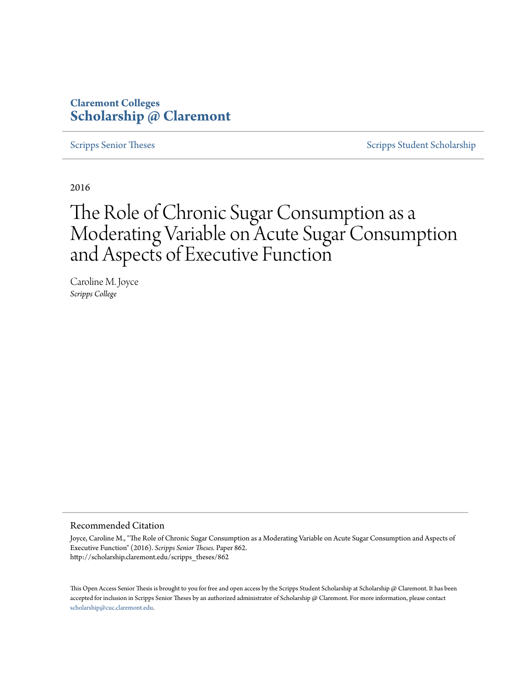# **Claremont Colleges [Scholarship @ Claremont](http://scholarship.claremont.edu)**

[Scripps Senior Theses](http://scholarship.claremont.edu/scripps_theses) [Scripps Student Scholarship](http://scholarship.claremont.edu/scripps_student)

2016

# The Role of Chronic Sugar Consumption as a Moderating Variable on Acute Sugar Consumption and Aspects of Executive Function

Caroline M. Joyce *Scripps College*

#### Recommended Citation

Joyce, Caroline M., "The Role of Chronic Sugar Consumption as a Moderating Variable on Acute Sugar Consumption and Aspects of Executive Function" (2016). *Scripps Senior Theses.* Paper 862. http://scholarship.claremont.edu/scripps\_theses/862

This Open Access Senior Thesis is brought to you for free and open access by the Scripps Student Scholarship at Scholarship @ Claremont. It has been accepted for inclusion in Scripps Senior Theses by an authorized administrator of Scholarship @ Claremont. For more information, please contact [scholarship@cuc.claremont.edu.](mailto:scholarship@cuc.claremont.edu)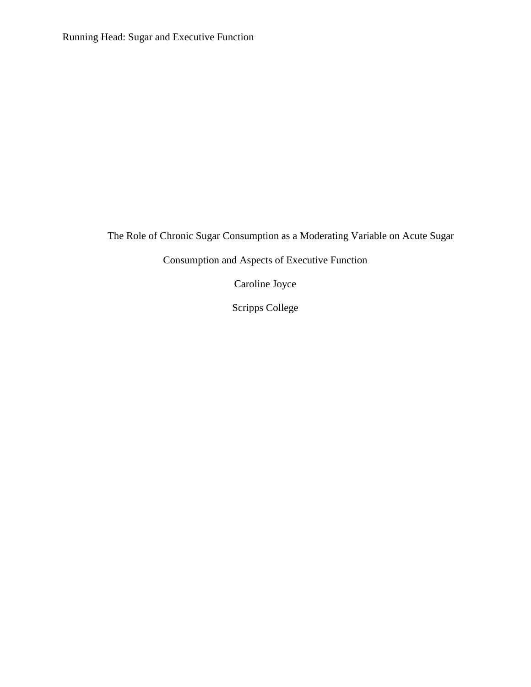Running Head: Sugar and Executive Function

The Role of Chronic Sugar Consumption as a Moderating Variable on Acute Sugar

Consumption and Aspects of Executive Function

Caroline Joyce

Scripps College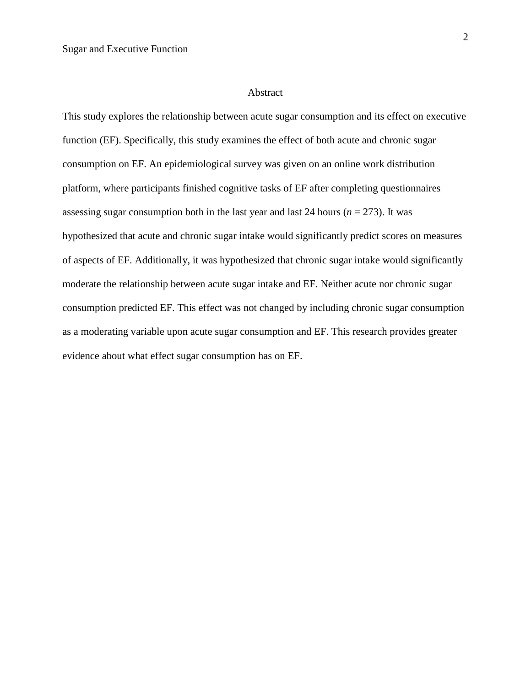#### Abstract

This study explores the relationship between acute sugar consumption and its effect on executive function (EF). Specifically, this study examines the effect of both acute and chronic sugar consumption on EF. An epidemiological survey was given on an online work distribution platform, where participants finished cognitive tasks of EF after completing questionnaires assessing sugar consumption both in the last year and last 24 hours ( $n = 273$ ). It was hypothesized that acute and chronic sugar intake would significantly predict scores on measures of aspects of EF. Additionally, it was hypothesized that chronic sugar intake would significantly moderate the relationship between acute sugar intake and EF. Neither acute nor chronic sugar consumption predicted EF. This effect was not changed by including chronic sugar consumption as a moderating variable upon acute sugar consumption and EF. This research provides greater evidence about what effect sugar consumption has on EF.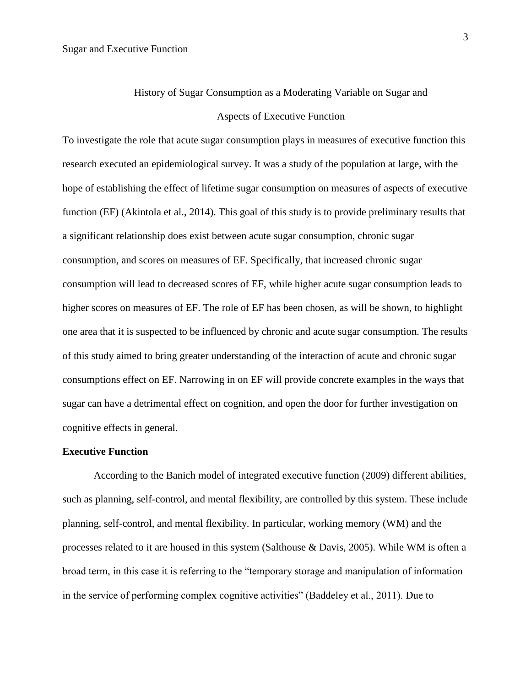# History of Sugar Consumption as a Moderating Variable on Sugar and Aspects of Executive Function

To investigate the role that acute sugar consumption plays in measures of executive function this research executed an epidemiological survey. It was a study of the population at large, with the hope of establishing the effect of lifetime sugar consumption on measures of aspects of executive function (EF) (Akintola et al., 2014). This goal of this study is to provide preliminary results that a significant relationship does exist between acute sugar consumption, chronic sugar consumption, and scores on measures of EF. Specifically, that increased chronic sugar consumption will lead to decreased scores of EF, while higher acute sugar consumption leads to higher scores on measures of EF. The role of EF has been chosen, as will be shown, to highlight one area that it is suspected to be influenced by chronic and acute sugar consumption. The results of this study aimed to bring greater understanding of the interaction of acute and chronic sugar consumptions effect on EF. Narrowing in on EF will provide concrete examples in the ways that sugar can have a detrimental effect on cognition, and open the door for further investigation on cognitive effects in general.

#### **Executive Function**

According to the Banich model of integrated executive function (2009) different abilities, such as planning, self-control, and mental flexibility, are controlled by this system. These include planning, self-control, and mental flexibility. In particular, working memory (WM) and the processes related to it are housed in this system (Salthouse & Davis, 2005). While WM is often a broad term, in this case it is referring to the "temporary storage and manipulation of information in the service of performing complex cognitive activities" (Baddeley et al., 2011). Due to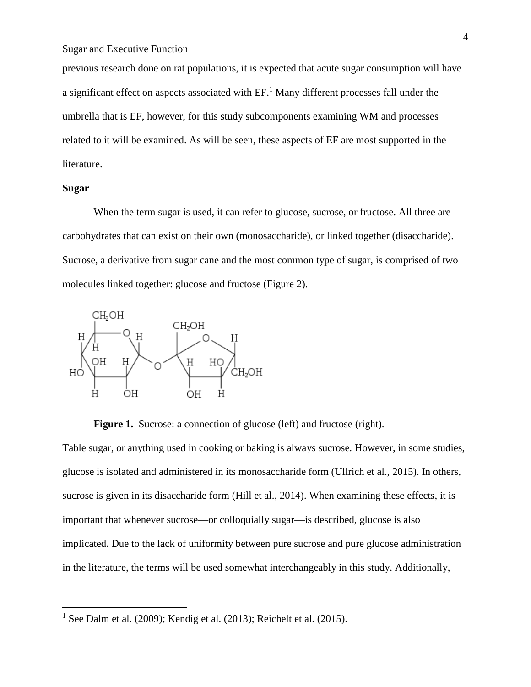previous research done on rat populations, it is expected that acute sugar consumption will have a significant effect on aspects associated with  $EF$ .<sup>1</sup> Many different processes fall under the umbrella that is EF, however, for this study subcomponents examining WM and processes related to it will be examined. As will be seen, these aspects of EF are most supported in the literature.

#### **Sugar**

 $\overline{a}$ 

When the term sugar is used, it can refer to glucose, sucrose, or fructose. All three are carbohydrates that can exist on their own (monosaccharide), or linked together (disaccharide). Sucrose, a derivative from sugar cane and the most common type of sugar, is comprised of two molecules linked together: glucose and fructose (Figure 2).



**Figure 1.** Sucrose: a connection of glucose (left) and fructose (right).

Table sugar, or anything used in cooking or baking is always sucrose. However, in some studies, glucose is isolated and administered in its monosaccharide form (Ullrich et al., 2015). In others, sucrose is given in its disaccharide form (Hill et al., 2014). When examining these effects, it is important that whenever sucrose—or colloquially sugar—is described, glucose is also implicated. Due to the lack of uniformity between pure sucrose and pure glucose administration in the literature, the terms will be used somewhat interchangeably in this study. Additionally,

<sup>&</sup>lt;sup>1</sup> See Dalm et al. (2009); Kendig et al. (2013); Reichelt et al. (2015).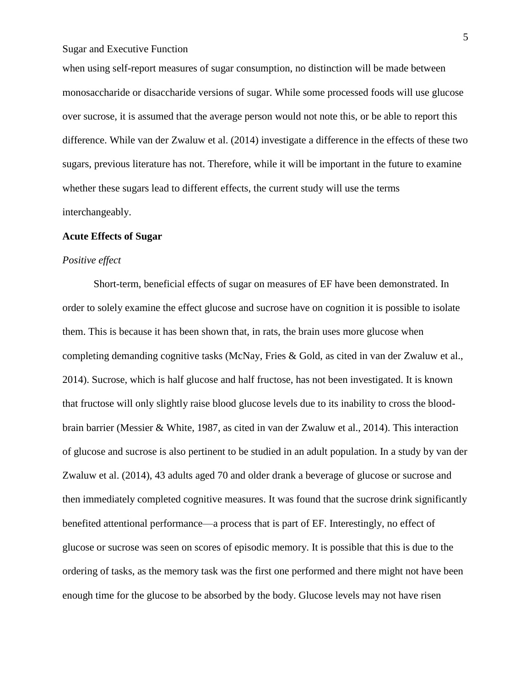when using self-report measures of sugar consumption, no distinction will be made between monosaccharide or disaccharide versions of sugar. While some processed foods will use glucose over sucrose, it is assumed that the average person would not note this, or be able to report this difference. While van der Zwaluw et al. (2014) investigate a difference in the effects of these two sugars, previous literature has not. Therefore, while it will be important in the future to examine whether these sugars lead to different effects, the current study will use the terms interchangeably.

#### **Acute Effects of Sugar**

#### *Positive effect*

Short-term, beneficial effects of sugar on measures of EF have been demonstrated. In order to solely examine the effect glucose and sucrose have on cognition it is possible to isolate them. This is because it has been shown that, in rats, the brain uses more glucose when completing demanding cognitive tasks (McNay, Fries & Gold, as cited in van der Zwaluw et al., 2014). Sucrose, which is half glucose and half fructose, has not been investigated. It is known that fructose will only slightly raise blood glucose levels due to its inability to cross the bloodbrain barrier (Messier & White, 1987, as cited in van der Zwaluw et al., 2014). This interaction of glucose and sucrose is also pertinent to be studied in an adult population. In a study by van der Zwaluw et al. (2014), 43 adults aged 70 and older drank a beverage of glucose or sucrose and then immediately completed cognitive measures. It was found that the sucrose drink significantly benefited attentional performance—a process that is part of EF. Interestingly, no effect of glucose or sucrose was seen on scores of episodic memory. It is possible that this is due to the ordering of tasks, as the memory task was the first one performed and there might not have been enough time for the glucose to be absorbed by the body. Glucose levels may not have risen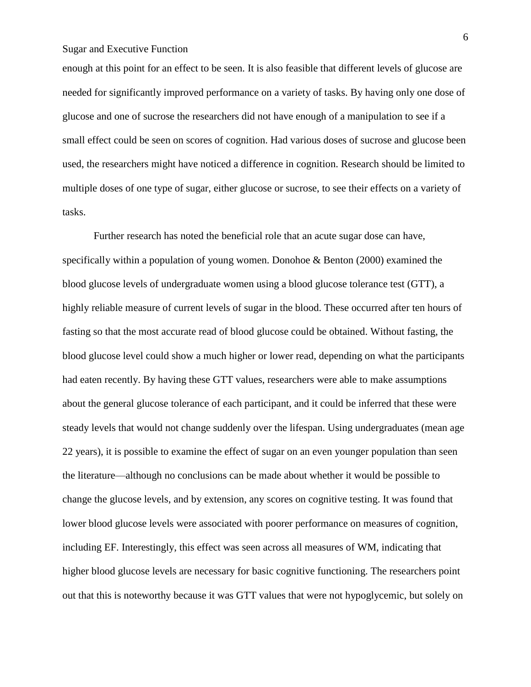enough at this point for an effect to be seen. It is also feasible that different levels of glucose are needed for significantly improved performance on a variety of tasks. By having only one dose of glucose and one of sucrose the researchers did not have enough of a manipulation to see if a small effect could be seen on scores of cognition. Had various doses of sucrose and glucose been used, the researchers might have noticed a difference in cognition. Research should be limited to multiple doses of one type of sugar, either glucose or sucrose, to see their effects on a variety of tasks.

Further research has noted the beneficial role that an acute sugar dose can have, specifically within a population of young women. Donohoe & Benton (2000) examined the blood glucose levels of undergraduate women using a blood glucose tolerance test (GTT), a highly reliable measure of current levels of sugar in the blood. These occurred after ten hours of fasting so that the most accurate read of blood glucose could be obtained. Without fasting, the blood glucose level could show a much higher or lower read, depending on what the participants had eaten recently. By having these GTT values, researchers were able to make assumptions about the general glucose tolerance of each participant, and it could be inferred that these were steady levels that would not change suddenly over the lifespan. Using undergraduates (mean age 22 years), it is possible to examine the effect of sugar on an even younger population than seen the literature—although no conclusions can be made about whether it would be possible to change the glucose levels, and by extension, any scores on cognitive testing. It was found that lower blood glucose levels were associated with poorer performance on measures of cognition, including EF. Interestingly, this effect was seen across all measures of WM, indicating that higher blood glucose levels are necessary for basic cognitive functioning. The researchers point out that this is noteworthy because it was GTT values that were not hypoglycemic, but solely on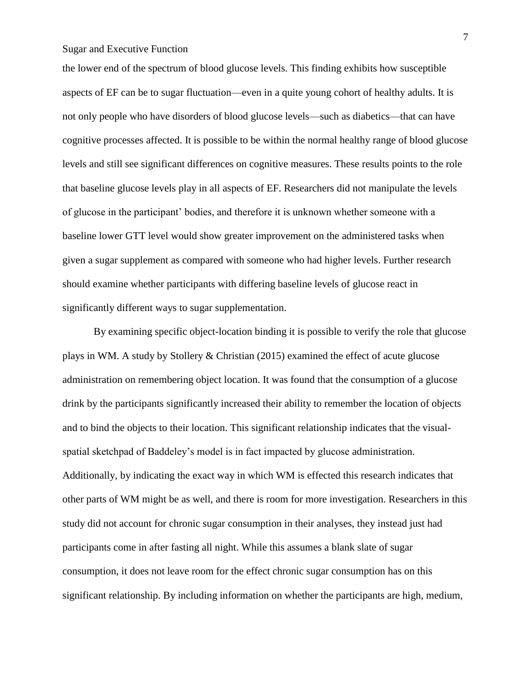the lower end of the spectrum of blood glucose levels. This finding exhibits how susceptible aspects of EF can be to sugar fluctuation—even in a quite young cohort of healthy adults. It is not only people who have disorders of blood glucose levels—such as diabetics—that can have cognitive processes affected. It is possible to be within the normal healthy range of blood glucose levels and still see significant differences on cognitive measures. These results points to the role that baseline glucose levels play in all aspects of EF. Researchers did not manipulate the levels of glucose in the participant' bodies, and therefore it is unknown whether someone with a baseline lower GTT level would show greater improvement on the administered tasks when given a sugar supplement as compared with someone who had higher levels. Further research should examine whether participants with differing baseline levels of glucose react in significantly different ways to sugar supplementation.

By examining specific object-location binding it is possible to verify the role that glucose plays in WM. A study by Stollery & Christian (2015) examined the effect of acute glucose administration on remembering object location. It was found that the consumption of a glucose drink by the participants significantly increased their ability to remember the location of objects and to bind the objects to their location. This significant relationship indicates that the visualspatial sketchpad of Baddeley's model is in fact impacted by glucose administration. Additionally, by indicating the exact way in which WM is effected this research indicates that other parts of WM might be as well, and there is room for more investigation. Researchers in this study did not account for chronic sugar consumption in their analyses, they instead just had participants come in after fasting all night. While this assumes a blank slate of sugar consumption, it does not leave room for the effect chronic sugar consumption has on this significant relationship. By including information on whether the participants are high, medium,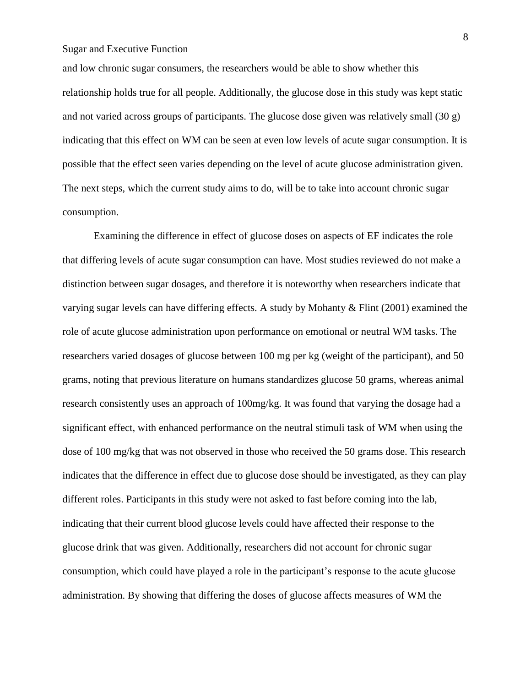and low chronic sugar consumers, the researchers would be able to show whether this relationship holds true for all people. Additionally, the glucose dose in this study was kept static and not varied across groups of participants. The glucose dose given was relatively small (30 g) indicating that this effect on WM can be seen at even low levels of acute sugar consumption. It is possible that the effect seen varies depending on the level of acute glucose administration given. The next steps, which the current study aims to do, will be to take into account chronic sugar consumption.

Examining the difference in effect of glucose doses on aspects of EF indicates the role that differing levels of acute sugar consumption can have. Most studies reviewed do not make a distinction between sugar dosages, and therefore it is noteworthy when researchers indicate that varying sugar levels can have differing effects. A study by Mohanty & Flint (2001) examined the role of acute glucose administration upon performance on emotional or neutral WM tasks. The researchers varied dosages of glucose between 100 mg per kg (weight of the participant), and 50 grams, noting that previous literature on humans standardizes glucose 50 grams, whereas animal research consistently uses an approach of 100mg/kg. It was found that varying the dosage had a significant effect, with enhanced performance on the neutral stimuli task of WM when using the dose of 100 mg/kg that was not observed in those who received the 50 grams dose. This research indicates that the difference in effect due to glucose dose should be investigated, as they can play different roles. Participants in this study were not asked to fast before coming into the lab, indicating that their current blood glucose levels could have affected their response to the glucose drink that was given. Additionally, researchers did not account for chronic sugar consumption, which could have played a role in the participant's response to the acute glucose administration. By showing that differing the doses of glucose affects measures of WM the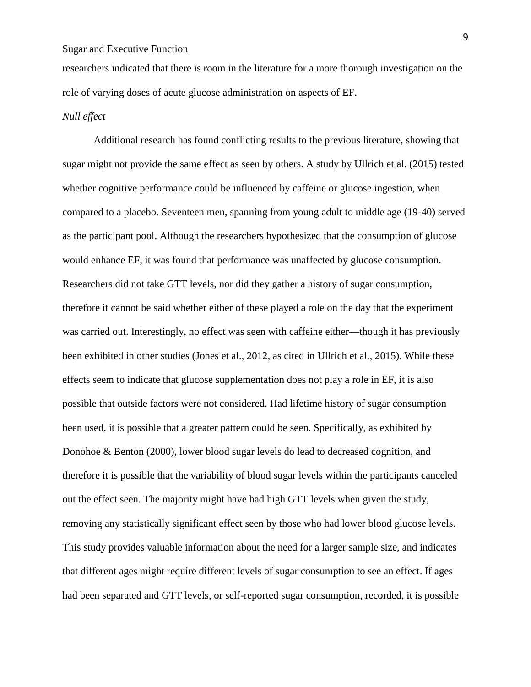researchers indicated that there is room in the literature for a more thorough investigation on the role of varying doses of acute glucose administration on aspects of EF.

### *Null effect*

Additional research has found conflicting results to the previous literature, showing that sugar might not provide the same effect as seen by others. A study by Ullrich et al. (2015) tested whether cognitive performance could be influenced by caffeine or glucose ingestion, when compared to a placebo. Seventeen men, spanning from young adult to middle age (19-40) served as the participant pool. Although the researchers hypothesized that the consumption of glucose would enhance EF, it was found that performance was unaffected by glucose consumption. Researchers did not take GTT levels, nor did they gather a history of sugar consumption, therefore it cannot be said whether either of these played a role on the day that the experiment was carried out. Interestingly, no effect was seen with caffeine either—though it has previously been exhibited in other studies (Jones et al., 2012, as cited in Ullrich et al., 2015). While these effects seem to indicate that glucose supplementation does not play a role in EF, it is also possible that outside factors were not considered. Had lifetime history of sugar consumption been used, it is possible that a greater pattern could be seen. Specifically, as exhibited by Donohoe & Benton (2000), lower blood sugar levels do lead to decreased cognition, and therefore it is possible that the variability of blood sugar levels within the participants canceled out the effect seen. The majority might have had high GTT levels when given the study, removing any statistically significant effect seen by those who had lower blood glucose levels. This study provides valuable information about the need for a larger sample size, and indicates that different ages might require different levels of sugar consumption to see an effect. If ages had been separated and GTT levels, or self-reported sugar consumption, recorded, it is possible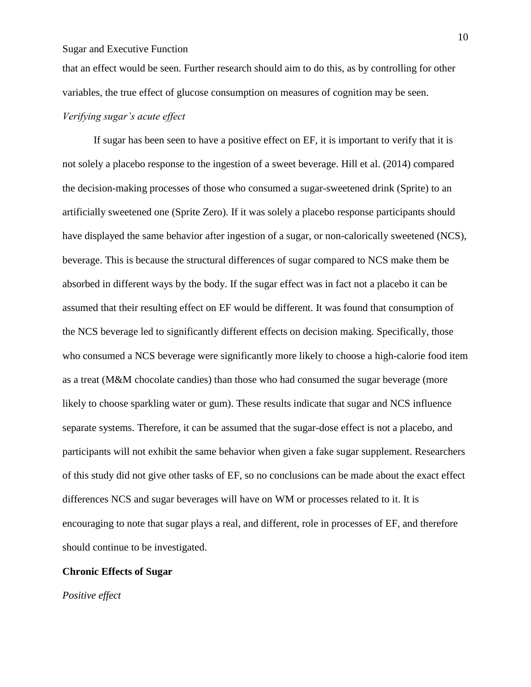that an effect would be seen. Further research should aim to do this, as by controlling for other variables, the true effect of glucose consumption on measures of cognition may be seen.

### *Verifying sugar's acute effect*

If sugar has been seen to have a positive effect on EF, it is important to verify that it is not solely a placebo response to the ingestion of a sweet beverage. Hill et al. (2014) compared the decision-making processes of those who consumed a sugar-sweetened drink (Sprite) to an artificially sweetened one (Sprite Zero). If it was solely a placebo response participants should have displayed the same behavior after ingestion of a sugar, or non-calorically sweetened (NCS), beverage. This is because the structural differences of sugar compared to NCS make them be absorbed in different ways by the body. If the sugar effect was in fact not a placebo it can be assumed that their resulting effect on EF would be different. It was found that consumption of the NCS beverage led to significantly different effects on decision making. Specifically, those who consumed a NCS beverage were significantly more likely to choose a high-calorie food item as a treat (M&M chocolate candies) than those who had consumed the sugar beverage (more likely to choose sparkling water or gum). These results indicate that sugar and NCS influence separate systems. Therefore, it can be assumed that the sugar-dose effect is not a placebo, and participants will not exhibit the same behavior when given a fake sugar supplement. Researchers of this study did not give other tasks of EF, so no conclusions can be made about the exact effect differences NCS and sugar beverages will have on WM or processes related to it. It is encouraging to note that sugar plays a real, and different, role in processes of EF, and therefore should continue to be investigated.

#### **Chronic Effects of Sugar**

*Positive effect*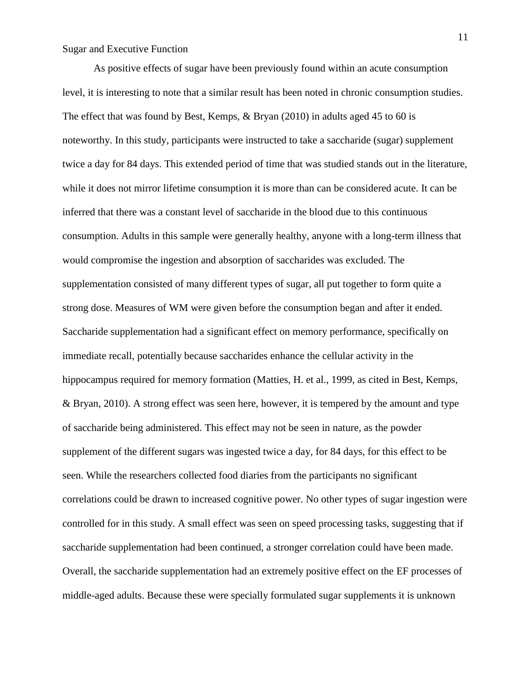As positive effects of sugar have been previously found within an acute consumption level, it is interesting to note that a similar result has been noted in chronic consumption studies. The effect that was found by Best, Kemps, & Bryan (2010) in adults aged 45 to 60 is noteworthy. In this study, participants were instructed to take a saccharide (sugar) supplement twice a day for 84 days. This extended period of time that was studied stands out in the literature, while it does not mirror lifetime consumption it is more than can be considered acute. It can be inferred that there was a constant level of saccharide in the blood due to this continuous consumption. Adults in this sample were generally healthy, anyone with a long-term illness that would compromise the ingestion and absorption of saccharides was excluded. The supplementation consisted of many different types of sugar, all put together to form quite a strong dose. Measures of WM were given before the consumption began and after it ended. Saccharide supplementation had a significant effect on memory performance, specifically on immediate recall, potentially because saccharides enhance the cellular activity in the hippocampus required for memory formation (Matties, H. et al., 1999, as cited in Best, Kemps, & Bryan, 2010). A strong effect was seen here, however, it is tempered by the amount and type of saccharide being administered. This effect may not be seen in nature, as the powder supplement of the different sugars was ingested twice a day, for 84 days, for this effect to be seen. While the researchers collected food diaries from the participants no significant correlations could be drawn to increased cognitive power. No other types of sugar ingestion were controlled for in this study. A small effect was seen on speed processing tasks, suggesting that if saccharide supplementation had been continued, a stronger correlation could have been made. Overall, the saccharide supplementation had an extremely positive effect on the EF processes of middle-aged adults. Because these were specially formulated sugar supplements it is unknown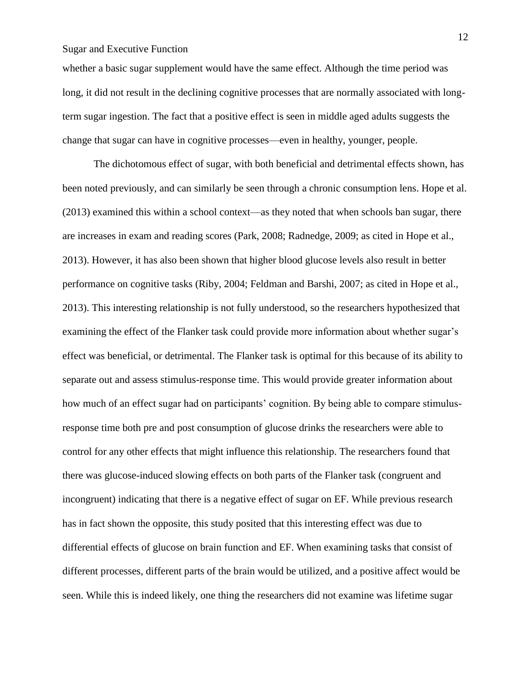whether a basic sugar supplement would have the same effect. Although the time period was long, it did not result in the declining cognitive processes that are normally associated with longterm sugar ingestion. The fact that a positive effect is seen in middle aged adults suggests the change that sugar can have in cognitive processes—even in healthy, younger, people.

The dichotomous effect of sugar, with both beneficial and detrimental effects shown, has been noted previously, and can similarly be seen through a chronic consumption lens. Hope et al. (2013) examined this within a school context—as they noted that when schools ban sugar, there are increases in exam and reading scores (Park, 2008; Radnedge, 2009; as cited in Hope et al., 2013). However, it has also been shown that higher blood glucose levels also result in better performance on cognitive tasks (Riby, 2004; Feldman and Barshi, 2007; as cited in Hope et al., 2013). This interesting relationship is not fully understood, so the researchers hypothesized that examining the effect of the Flanker task could provide more information about whether sugar's effect was beneficial, or detrimental. The Flanker task is optimal for this because of its ability to separate out and assess stimulus-response time. This would provide greater information about how much of an effect sugar had on participants' cognition. By being able to compare stimulusresponse time both pre and post consumption of glucose drinks the researchers were able to control for any other effects that might influence this relationship. The researchers found that there was glucose-induced slowing effects on both parts of the Flanker task (congruent and incongruent) indicating that there is a negative effect of sugar on EF. While previous research has in fact shown the opposite, this study posited that this interesting effect was due to differential effects of glucose on brain function and EF. When examining tasks that consist of different processes, different parts of the brain would be utilized, and a positive affect would be seen. While this is indeed likely, one thing the researchers did not examine was lifetime sugar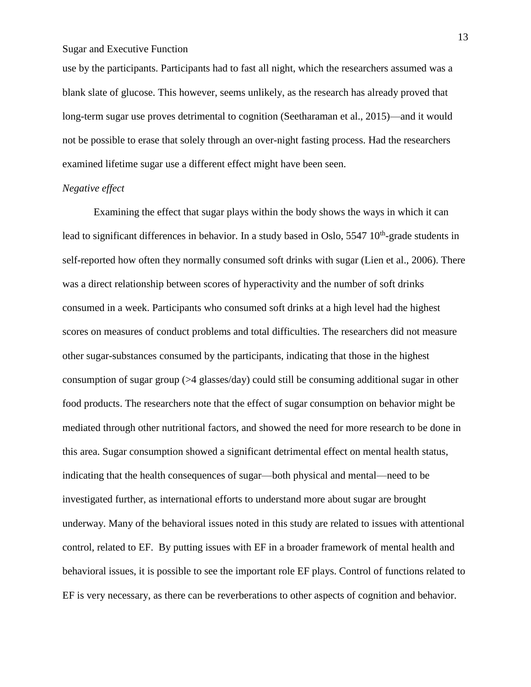use by the participants. Participants had to fast all night, which the researchers assumed was a blank slate of glucose. This however, seems unlikely, as the research has already proved that long-term sugar use proves detrimental to cognition (Seetharaman et al., 2015)—and it would not be possible to erase that solely through an over-night fasting process. Had the researchers examined lifetime sugar use a different effect might have been seen.

#### *Negative effect*

Examining the effect that sugar plays within the body shows the ways in which it can lead to significant differences in behavior. In a study based in Oslo, 5547 10<sup>th</sup>-grade students in self-reported how often they normally consumed soft drinks with sugar (Lien et al., 2006). There was a direct relationship between scores of hyperactivity and the number of soft drinks consumed in a week. Participants who consumed soft drinks at a high level had the highest scores on measures of conduct problems and total difficulties. The researchers did not measure other sugar-substances consumed by the participants, indicating that those in the highest consumption of sugar group (>4 glasses/day) could still be consuming additional sugar in other food products. The researchers note that the effect of sugar consumption on behavior might be mediated through other nutritional factors, and showed the need for more research to be done in this area. Sugar consumption showed a significant detrimental effect on mental health status, indicating that the health consequences of sugar—both physical and mental—need to be investigated further, as international efforts to understand more about sugar are brought underway. Many of the behavioral issues noted in this study are related to issues with attentional control, related to EF. By putting issues with EF in a broader framework of mental health and behavioral issues, it is possible to see the important role EF plays. Control of functions related to EF is very necessary, as there can be reverberations to other aspects of cognition and behavior.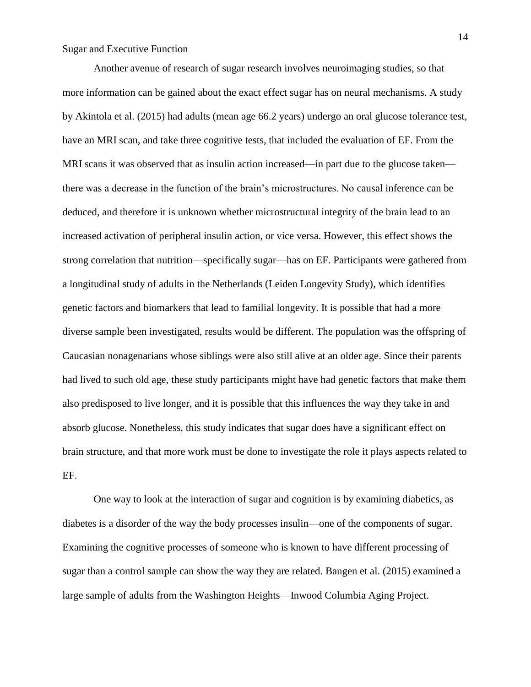Another avenue of research of sugar research involves neuroimaging studies, so that more information can be gained about the exact effect sugar has on neural mechanisms. A study by Akintola et al. (2015) had adults (mean age 66.2 years) undergo an oral glucose tolerance test, have an MRI scan, and take three cognitive tests, that included the evaluation of EF. From the MRI scans it was observed that as insulin action increased—in part due to the glucose taken there was a decrease in the function of the brain's microstructures. No causal inference can be deduced, and therefore it is unknown whether microstructural integrity of the brain lead to an increased activation of peripheral insulin action, or vice versa. However, this effect shows the strong correlation that nutrition—specifically sugar—has on EF. Participants were gathered from a longitudinal study of adults in the Netherlands (Leiden Longevity Study), which identifies genetic factors and biomarkers that lead to familial longevity. It is possible that had a more diverse sample been investigated, results would be different. The population was the offspring of Caucasian nonagenarians whose siblings were also still alive at an older age. Since their parents had lived to such old age, these study participants might have had genetic factors that make them also predisposed to live longer, and it is possible that this influences the way they take in and absorb glucose. Nonetheless, this study indicates that sugar does have a significant effect on brain structure, and that more work must be done to investigate the role it plays aspects related to EF.

One way to look at the interaction of sugar and cognition is by examining diabetics, as diabetes is a disorder of the way the body processes insulin—one of the components of sugar. Examining the cognitive processes of someone who is known to have different processing of sugar than a control sample can show the way they are related. Bangen et al. (2015) examined a large sample of adults from the Washington Heights—Inwood Columbia Aging Project.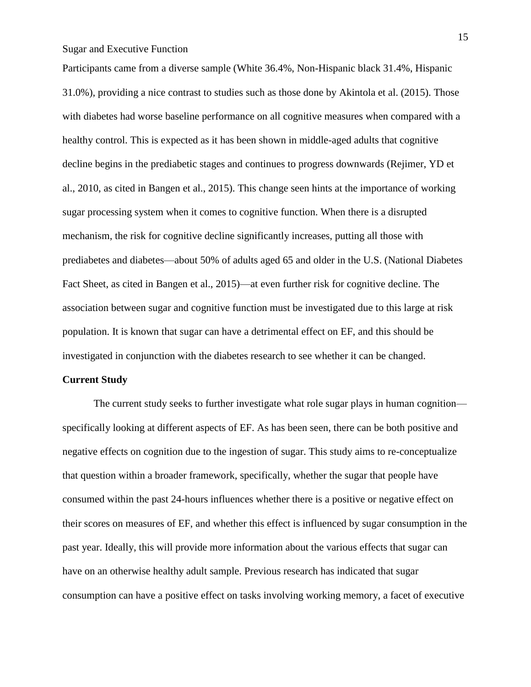Participants came from a diverse sample (White 36.4%, Non-Hispanic black 31.4%, Hispanic 31.0%), providing a nice contrast to studies such as those done by Akintola et al. (2015). Those with diabetes had worse baseline performance on all cognitive measures when compared with a healthy control. This is expected as it has been shown in middle-aged adults that cognitive decline begins in the prediabetic stages and continues to progress downwards (Rejimer, YD et al., 2010, as cited in Bangen et al., 2015). This change seen hints at the importance of working sugar processing system when it comes to cognitive function. When there is a disrupted mechanism, the risk for cognitive decline significantly increases, putting all those with prediabetes and diabetes—about 50% of adults aged 65 and older in the U.S. (National Diabetes Fact Sheet, as cited in Bangen et al., 2015)—at even further risk for cognitive decline. The association between sugar and cognitive function must be investigated due to this large at risk population. It is known that sugar can have a detrimental effect on EF, and this should be investigated in conjunction with the diabetes research to see whether it can be changed.

#### **Current Study**

The current study seeks to further investigate what role sugar plays in human cognition specifically looking at different aspects of EF. As has been seen, there can be both positive and negative effects on cognition due to the ingestion of sugar. This study aims to re-conceptualize that question within a broader framework, specifically, whether the sugar that people have consumed within the past 24-hours influences whether there is a positive or negative effect on their scores on measures of EF, and whether this effect is influenced by sugar consumption in the past year. Ideally, this will provide more information about the various effects that sugar can have on an otherwise healthy adult sample. Previous research has indicated that sugar consumption can have a positive effect on tasks involving working memory, a facet of executive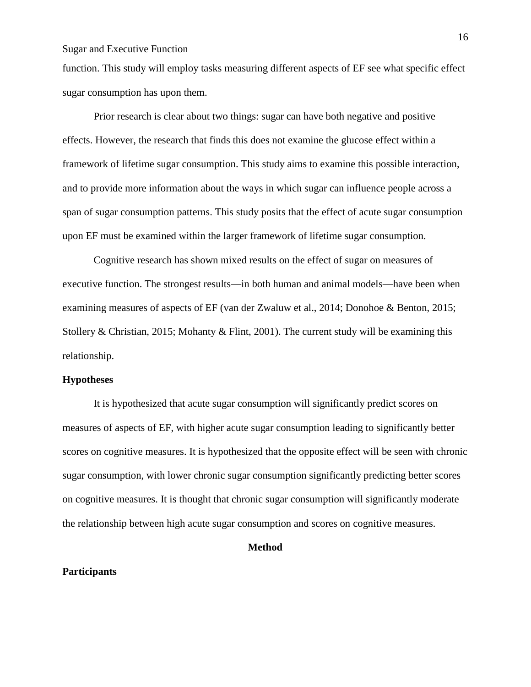function. This study will employ tasks measuring different aspects of EF see what specific effect sugar consumption has upon them.

Prior research is clear about two things: sugar can have both negative and positive effects. However, the research that finds this does not examine the glucose effect within a framework of lifetime sugar consumption. This study aims to examine this possible interaction, and to provide more information about the ways in which sugar can influence people across a span of sugar consumption patterns. This study posits that the effect of acute sugar consumption upon EF must be examined within the larger framework of lifetime sugar consumption.

Cognitive research has shown mixed results on the effect of sugar on measures of executive function. The strongest results—in both human and animal models—have been when examining measures of aspects of EF (van der Zwaluw et al., 2014; Donohoe & Benton, 2015; Stollery & Christian, 2015; Mohanty & Flint, 2001). The current study will be examining this relationship.

#### **Hypotheses**

It is hypothesized that acute sugar consumption will significantly predict scores on measures of aspects of EF, with higher acute sugar consumption leading to significantly better scores on cognitive measures. It is hypothesized that the opposite effect will be seen with chronic sugar consumption, with lower chronic sugar consumption significantly predicting better scores on cognitive measures. It is thought that chronic sugar consumption will significantly moderate the relationship between high acute sugar consumption and scores on cognitive measures.

#### **Method**

#### **Participants**

16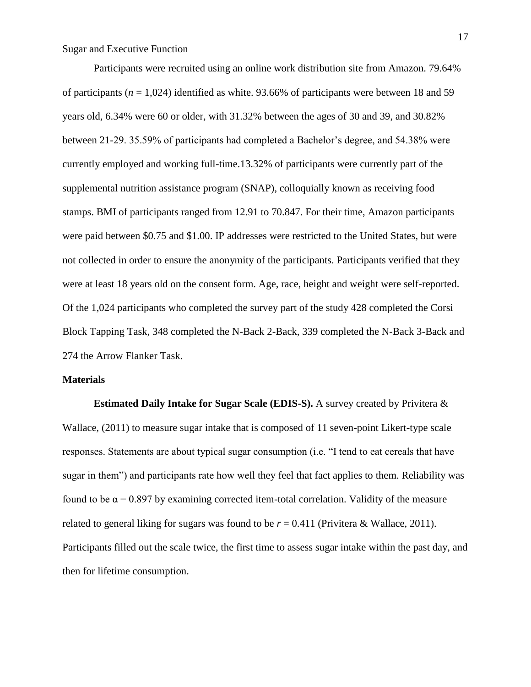Participants were recruited using an online work distribution site from Amazon. 79.64% of participants (*n* = 1,024) identified as white. 93.66% of participants were between 18 and 59 years old, 6.34% were 60 or older, with 31.32% between the ages of 30 and 39, and 30.82% between 21-29. 35.59% of participants had completed a Bachelor's degree, and 54.38% were currently employed and working full-time.13.32% of participants were currently part of the supplemental nutrition assistance program (SNAP), colloquially known as receiving food stamps. BMI of participants ranged from 12.91 to 70.847. For their time, Amazon participants were paid between \$0.75 and \$1.00. IP addresses were restricted to the United States, but were not collected in order to ensure the anonymity of the participants. Participants verified that they were at least 18 years old on the consent form. Age, race, height and weight were self-reported. Of the 1,024 participants who completed the survey part of the study 428 completed the Corsi Block Tapping Task, 348 completed the N-Back 2-Back, 339 completed the N-Back 3-Back and 274 the Arrow Flanker Task.

#### **Materials**

 **Estimated Daily Intake for Sugar Scale (EDIS-S).** A survey created by Privitera & Wallace, (2011) to measure sugar intake that is composed of 11 seven-point Likert-type scale responses. Statements are about typical sugar consumption (i.e. "I tend to eat cereals that have sugar in them") and participants rate how well they feel that fact applies to them. Reliability was found to be  $\alpha$  = 0.897 by examining corrected item-total correlation. Validity of the measure related to general liking for sugars was found to be  $r = 0.411$  (Privitera & Wallace, 2011). Participants filled out the scale twice, the first time to assess sugar intake within the past day, and then for lifetime consumption.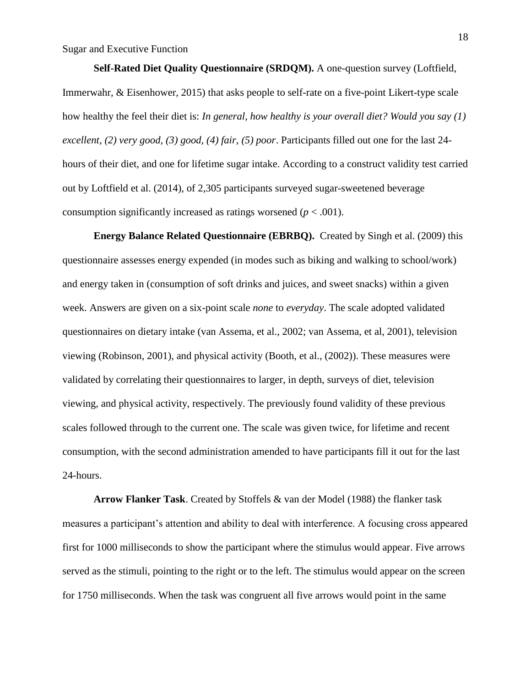**Self-Rated Diet Quality Questionnaire (SRDQM).** A one-question survey (Loftfield, Immerwahr, & Eisenhower, 2015) that asks people to self-rate on a five-point Likert-type scale how healthy the feel their diet is: *In general, how healthy is your overall diet? Would you say (1) excellent, (2) very good, (3) good, (4) fair, (5) poor*. Participants filled out one for the last 24 hours of their diet, and one for lifetime sugar intake. According to a construct validity test carried out by Loftfield et al. (2014), of 2,305 participants surveyed sugar-sweetened beverage consumption significantly increased as ratings worsened  $(p < .001)$ .

 **Energy Balance Related Questionnaire (EBRBQ).** Created by Singh et al. (2009) this questionnaire assesses energy expended (in modes such as biking and walking to school/work) and energy taken in (consumption of soft drinks and juices, and sweet snacks) within a given week. Answers are given on a six-point scale *none* to *everyday*. The scale adopted validated questionnaires on dietary intake (van Assema, et al., 2002; van Assema, et al, 2001), television viewing (Robinson, 2001), and physical activity (Booth, et al., (2002)). These measures were validated by correlating their questionnaires to larger, in depth, surveys of diet, television viewing, and physical activity, respectively. The previously found validity of these previous scales followed through to the current one. The scale was given twice, for lifetime and recent consumption, with the second administration amended to have participants fill it out for the last 24-hours.

 **Arrow Flanker Task**. Created by Stoffels & van der Model (1988) the flanker task measures a participant's attention and ability to deal with interference. A focusing cross appeared first for 1000 milliseconds to show the participant where the stimulus would appear. Five arrows served as the stimuli, pointing to the right or to the left. The stimulus would appear on the screen for 1750 milliseconds. When the task was congruent all five arrows would point in the same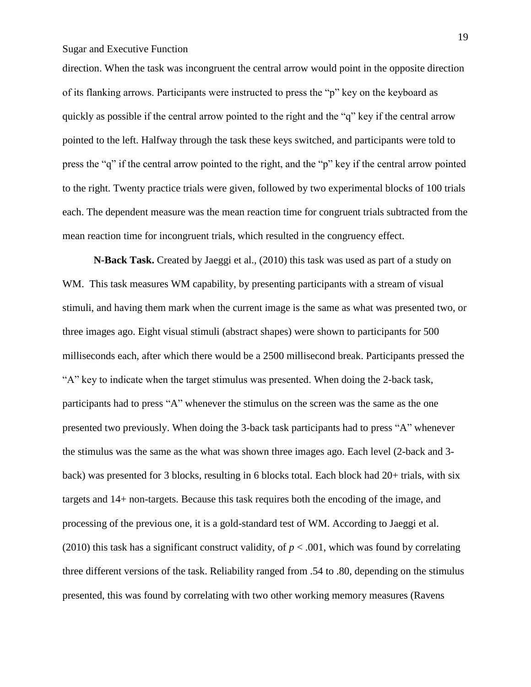direction. When the task was incongruent the central arrow would point in the opposite direction of its flanking arrows. Participants were instructed to press the "p" key on the keyboard as quickly as possible if the central arrow pointed to the right and the "q" key if the central arrow pointed to the left. Halfway through the task these keys switched, and participants were told to press the "q" if the central arrow pointed to the right, and the "p" key if the central arrow pointed to the right. Twenty practice trials were given, followed by two experimental blocks of 100 trials each. The dependent measure was the mean reaction time for congruent trials subtracted from the mean reaction time for incongruent trials, which resulted in the congruency effect.

 **N-Back Task.** Created by Jaeggi et al., (2010) this task was used as part of a study on WM. This task measures WM capability, by presenting participants with a stream of visual stimuli, and having them mark when the current image is the same as what was presented two, or three images ago. Eight visual stimuli (abstract shapes) were shown to participants for 500 milliseconds each, after which there would be a 2500 millisecond break. Participants pressed the "A" key to indicate when the target stimulus was presented. When doing the 2-back task, participants had to press "A" whenever the stimulus on the screen was the same as the one presented two previously. When doing the 3-back task participants had to press "A" whenever the stimulus was the same as the what was shown three images ago. Each level (2-back and 3 back) was presented for 3 blocks, resulting in 6 blocks total. Each block had 20+ trials, with six targets and 14+ non-targets. Because this task requires both the encoding of the image, and processing of the previous one, it is a gold-standard test of WM. According to Jaeggi et al. (2010) this task has a significant construct validity, of  $p < .001$ , which was found by correlating three different versions of the task. Reliability ranged from .54 to .80, depending on the stimulus presented, this was found by correlating with two other working memory measures (Ravens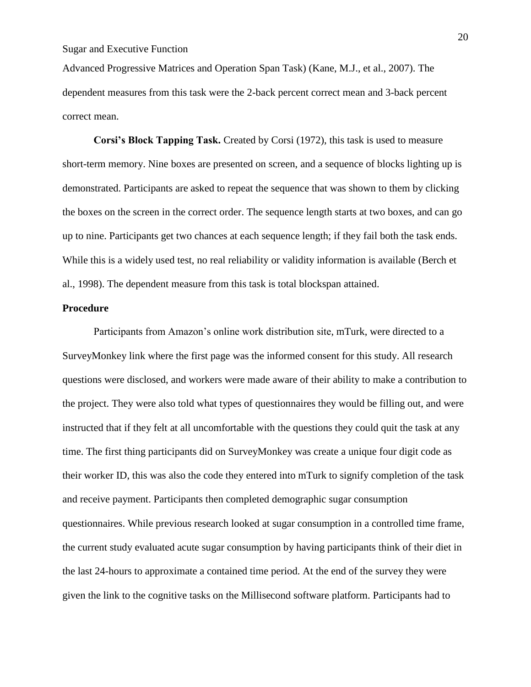Advanced Progressive Matrices and Operation Span Task) (Kane, M.J., et al., 2007). The dependent measures from this task were the 2-back percent correct mean and 3-back percent correct mean.

**Corsi's Block Tapping Task.** Created by Corsi (1972), this task is used to measure short-term memory. Nine boxes are presented on screen, and a sequence of blocks lighting up is demonstrated. Participants are asked to repeat the sequence that was shown to them by clicking the boxes on the screen in the correct order. The sequence length starts at two boxes, and can go up to nine. Participants get two chances at each sequence length; if they fail both the task ends. While this is a widely used test, no real reliability or validity information is available (Berch et al., 1998). The dependent measure from this task is total blockspan attained.

#### **Procedure**

Participants from Amazon's online work distribution site, mTurk, were directed to a SurveyMonkey link where the first page was the informed consent for this study. All research questions were disclosed, and workers were made aware of their ability to make a contribution to the project. They were also told what types of questionnaires they would be filling out, and were instructed that if they felt at all uncomfortable with the questions they could quit the task at any time. The first thing participants did on SurveyMonkey was create a unique four digit code as their worker ID, this was also the code they entered into mTurk to signify completion of the task and receive payment. Participants then completed demographic sugar consumption questionnaires. While previous research looked at sugar consumption in a controlled time frame, the current study evaluated acute sugar consumption by having participants think of their diet in the last 24-hours to approximate a contained time period. At the end of the survey they were given the link to the cognitive tasks on the Millisecond software platform. Participants had to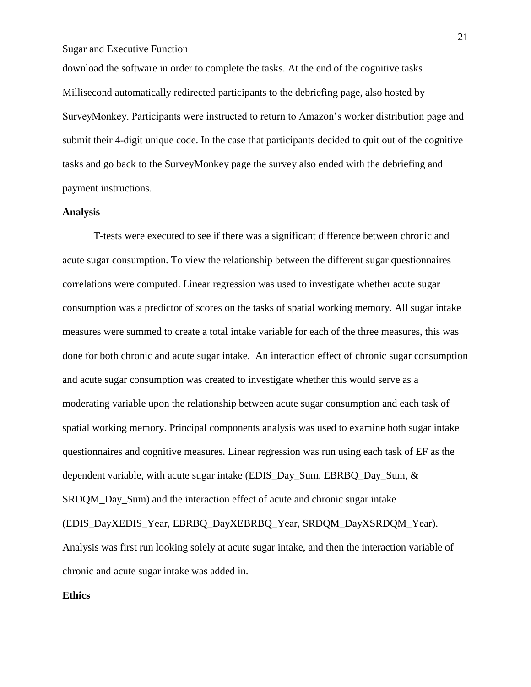download the software in order to complete the tasks. At the end of the cognitive tasks Millisecond automatically redirected participants to the debriefing page, also hosted by SurveyMonkey. Participants were instructed to return to Amazon's worker distribution page and submit their 4-digit unique code. In the case that participants decided to quit out of the cognitive tasks and go back to the SurveyMonkey page the survey also ended with the debriefing and payment instructions.

#### **Analysis**

T-tests were executed to see if there was a significant difference between chronic and acute sugar consumption. To view the relationship between the different sugar questionnaires correlations were computed. Linear regression was used to investigate whether acute sugar consumption was a predictor of scores on the tasks of spatial working memory. All sugar intake measures were summed to create a total intake variable for each of the three measures, this was done for both chronic and acute sugar intake. An interaction effect of chronic sugar consumption and acute sugar consumption was created to investigate whether this would serve as a moderating variable upon the relationship between acute sugar consumption and each task of spatial working memory. Principal components analysis was used to examine both sugar intake questionnaires and cognitive measures. Linear regression was run using each task of EF as the dependent variable, with acute sugar intake (EDIS\_Day\_Sum, EBRBQ\_Day\_Sum, & SRDQM Day Sum) and the interaction effect of acute and chronic sugar intake (EDIS\_DayXEDIS\_Year, EBRBQ\_DayXEBRBQ\_Year, SRDQM\_DayXSRDQM\_Year). Analysis was first run looking solely at acute sugar intake, and then the interaction variable of chronic and acute sugar intake was added in.

### **Ethics**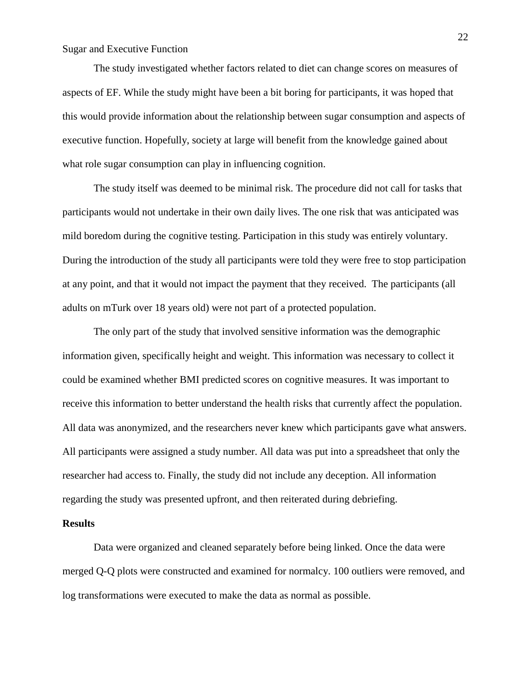The study investigated whether factors related to diet can change scores on measures of aspects of EF. While the study might have been a bit boring for participants, it was hoped that this would provide information about the relationship between sugar consumption and aspects of executive function. Hopefully, society at large will benefit from the knowledge gained about what role sugar consumption can play in influencing cognition.

The study itself was deemed to be minimal risk. The procedure did not call for tasks that participants would not undertake in their own daily lives. The one risk that was anticipated was mild boredom during the cognitive testing. Participation in this study was entirely voluntary. During the introduction of the study all participants were told they were free to stop participation at any point, and that it would not impact the payment that they received. The participants (all adults on mTurk over 18 years old) were not part of a protected population.

The only part of the study that involved sensitive information was the demographic information given, specifically height and weight. This information was necessary to collect it could be examined whether BMI predicted scores on cognitive measures. It was important to receive this information to better understand the health risks that currently affect the population. All data was anonymized, and the researchers never knew which participants gave what answers. All participants were assigned a study number. All data was put into a spreadsheet that only the researcher had access to. Finally, the study did not include any deception. All information regarding the study was presented upfront, and then reiterated during debriefing.

#### **Results**

Data were organized and cleaned separately before being linked. Once the data were merged Q-Q plots were constructed and examined for normalcy. 100 outliers were removed, and log transformations were executed to make the data as normal as possible.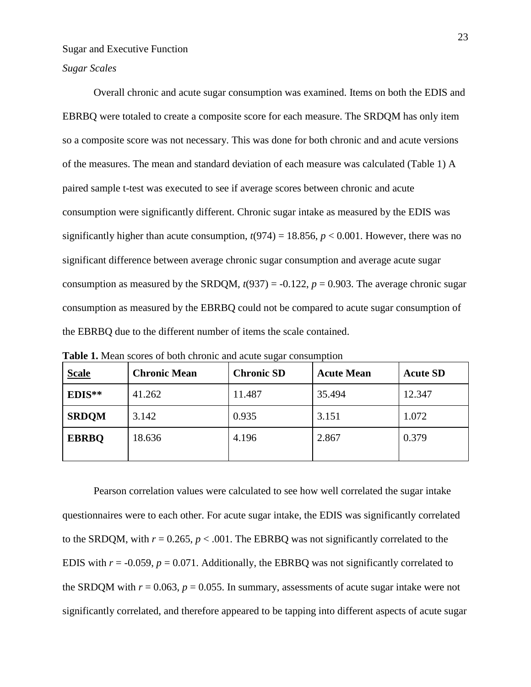*Sugar Scales*

Overall chronic and acute sugar consumption was examined. Items on both the EDIS and EBRBQ were totaled to create a composite score for each measure. The SRDQM has only item so a composite score was not necessary. This was done for both chronic and and acute versions of the measures. The mean and standard deviation of each measure was calculated (Table 1) A paired sample t-test was executed to see if average scores between chronic and acute consumption were significantly different. Chronic sugar intake as measured by the EDIS was significantly higher than acute consumption,  $t(974) = 18.856$ ,  $p < 0.001$ . However, there was no significant difference between average chronic sugar consumption and average acute sugar consumption as measured by the SRDQM,  $t(937) = -0.122$ ,  $p = 0.903$ . The average chronic sugar consumption as measured by the EBRBQ could not be compared to acute sugar consumption of the EBRBQ due to the different number of items the scale contained.

| <b>Scale</b> | <b>Chronic Mean</b> | <b>Chronic SD</b> | <b>Acute Mean</b> | <b>Acute SD</b> |
|--------------|---------------------|-------------------|-------------------|-----------------|
| EDIS**       | 41.262              |                   | 35.494            | 12.347          |
| <b>SRDQM</b> | 3.142               | 0.935             | 3.151             | 1.072           |
| <b>EBRBQ</b> | 18.636              | 4.196             | 2.867             | 0.379           |

**Table 1.** Mean scores of both chronic and acute sugar consumption

Pearson correlation values were calculated to see how well correlated the sugar intake questionnaires were to each other. For acute sugar intake, the EDIS was significantly correlated to the SRDQM, with  $r = 0.265$ ,  $p < .001$ . The EBRBQ was not significantly correlated to the EDIS with  $r = -0.059$ ,  $p = 0.071$ . Additionally, the EBRBQ was not significantly correlated to the SRDQM with  $r = 0.063$ ,  $p = 0.055$ . In summary, assessments of acute sugar intake were not significantly correlated, and therefore appeared to be tapping into different aspects of acute sugar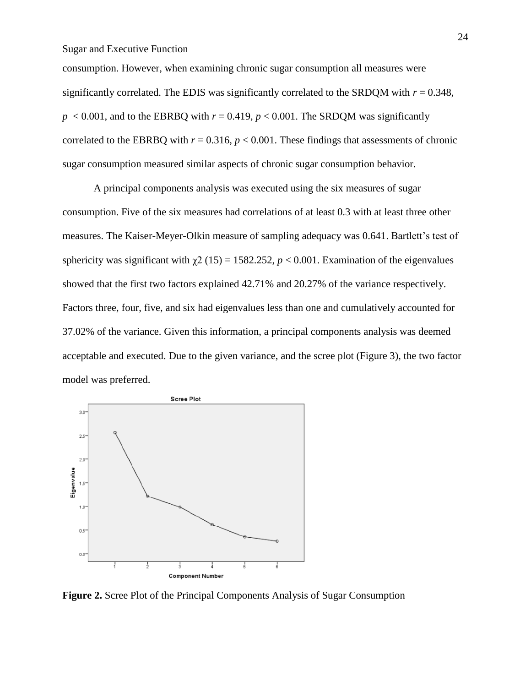consumption. However, when examining chronic sugar consumption all measures were significantly correlated. The EDIS was significantly correlated to the SRDQM with  $r = 0.348$ ,  $p < 0.001$ , and to the EBRBQ with  $r = 0.419$ ,  $p < 0.001$ . The SRDQM was significantly correlated to the EBRBQ with  $r = 0.316$ ,  $p < 0.001$ . These findings that assessments of chronic sugar consumption measured similar aspects of chronic sugar consumption behavior.

A principal components analysis was executed using the six measures of sugar consumption. Five of the six measures had correlations of at least 0.3 with at least three other measures. The Kaiser-Meyer-Olkin measure of sampling adequacy was 0.641. Bartlett's test of sphericity was significant with  $\gamma$ 2 (15) = 1582.252, *p* < 0.001. Examination of the eigenvalues showed that the first two factors explained 42.71% and 20.27% of the variance respectively. Factors three, four, five, and six had eigenvalues less than one and cumulatively accounted for 37.02% of the variance. Given this information, a principal components analysis was deemed acceptable and executed. Due to the given variance, and the scree plot (Figure 3), the two factor model was preferred.



**Figure 2.** Scree Plot of the Principal Components Analysis of Sugar Consumption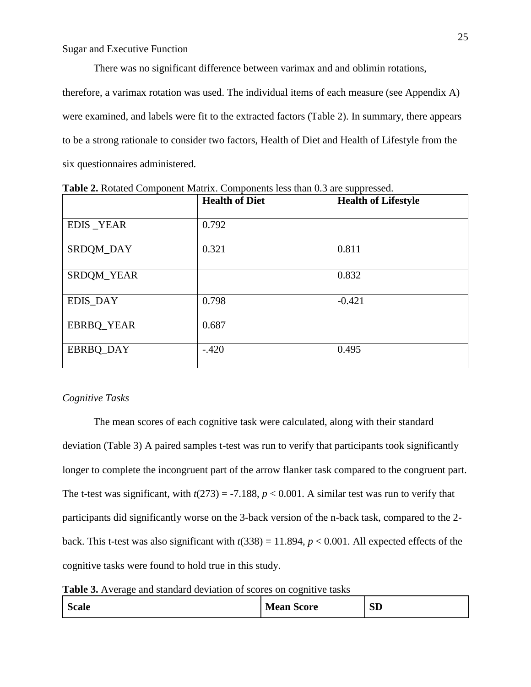There was no significant difference between varimax and and oblimin rotations, therefore, a varimax rotation was used. The individual items of each measure (see Appendix A) were examined, and labels were fit to the extracted factors (Table 2). In summary, there appears to be a strong rationale to consider two factors, Health of Diet and Health of Lifestyle from the six questionnaires administered.

|                  | <b>Health of Diet</b> | <b>Health of Lifestyle</b> |
|------------------|-----------------------|----------------------------|
| <b>EDIS_YEAR</b> | 0.792                 |                            |
| SRDQM_DAY        | 0.321                 | 0.811                      |
| SRDQM_YEAR       |                       | 0.832                      |
| EDIS_DAY         | 0.798                 | $-0.421$                   |
| EBRBQ_YEAR       | 0.687                 |                            |
| EBRBQ_DAY        | $-.420$               | 0.495                      |

**Table 2.** Rotated Component Matrix. Components less than 0.3 are suppressed.

#### *Cognitive Tasks*

The mean scores of each cognitive task were calculated, along with their standard deviation (Table 3) A paired samples t-test was run to verify that participants took significantly longer to complete the incongruent part of the arrow flanker task compared to the congruent part. The t-test was significant, with  $t(273) = -7.188$ ,  $p < 0.001$ . A similar test was run to verify that participants did significantly worse on the 3-back version of the n-back task, compared to the 2 back. This t-test was also significant with  $t(338) = 11.894$ ,  $p < 0.001$ . All expected effects of the cognitive tasks were found to hold true in this study.

Table 3. Average and standard deviation of scores on cognitive tasks

| <b>Scale</b> | <b>Mean Score</b> | $\alpha$ rn<br>5D |
|--------------|-------------------|-------------------|
|              |                   |                   |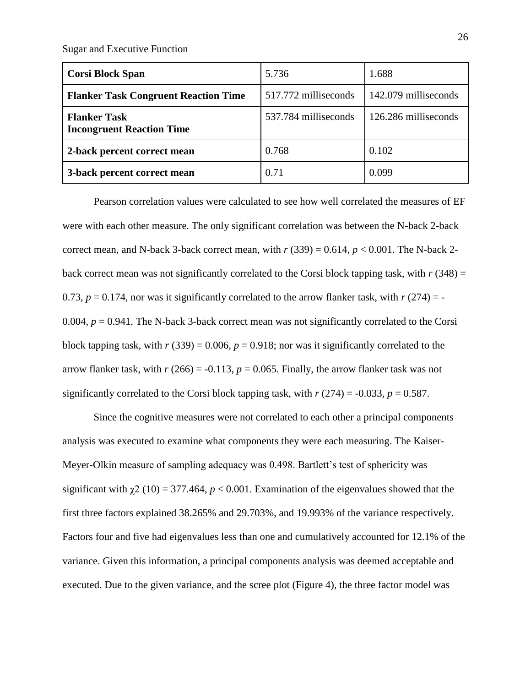| <b>Corsi Block Span</b>                                 | 5.736                | 1.688                |
|---------------------------------------------------------|----------------------|----------------------|
| <b>Flanker Task Congruent Reaction Time</b>             | 517.772 milliseconds | 142.079 milliseconds |
| <b>Flanker Task</b><br><b>Incongruent Reaction Time</b> | 537.784 milliseconds | 126.286 milliseconds |
| 2-back percent correct mean                             | 0.768                | 0.102                |
| 3-back percent correct mean                             | 0.71                 | 0.099                |

Pearson correlation values were calculated to see how well correlated the measures of EF were with each other measure. The only significant correlation was between the N-back 2-back correct mean, and N-back 3-back correct mean, with  $r(339) = 0.614$ ,  $p < 0.001$ . The N-back 2back correct mean was not significantly correlated to the Corsi block tapping task, with  $r(348) =$ 0.73,  $p = 0.174$ , nor was it significantly correlated to the arrow flanker task, with  $r(274) = -$ 0.004,  $p = 0.941$ . The N-back 3-back correct mean was not significantly correlated to the Corsi block tapping task, with  $r(339) = 0.006$ ,  $p = 0.918$ ; nor was it significantly correlated to the arrow flanker task, with  $r(266) = -0.113$ ,  $p = 0.065$ . Finally, the arrow flanker task was not significantly correlated to the Corsi block tapping task, with  $r(274) = -0.033$ ,  $p = 0.587$ .

Since the cognitive measures were not correlated to each other a principal components analysis was executed to examine what components they were each measuring. The Kaiser-Meyer-Olkin measure of sampling adequacy was 0.498. Bartlett's test of sphericity was significant with  $\chi^2$  (10) = 377.464,  $p < 0.001$ . Examination of the eigenvalues showed that the first three factors explained 38.265% and 29.703%, and 19.993% of the variance respectively. Factors four and five had eigenvalues less than one and cumulatively accounted for 12.1% of the variance. Given this information, a principal components analysis was deemed acceptable and executed. Due to the given variance, and the scree plot (Figure 4), the three factor model was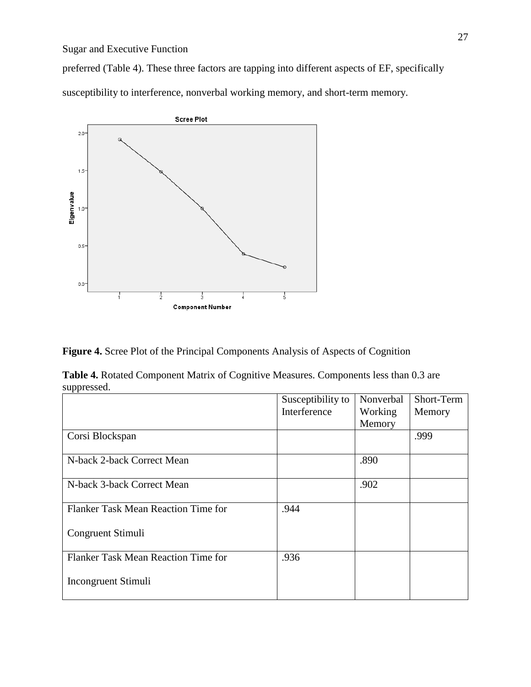preferred (Table 4). These three factors are tapping into different aspects of EF, specifically susceptibility to interference, nonverbal working memory, and short-term memory.



**Figure 4.** Scree Plot of the Principal Components Analysis of Aspects of Cognition

**Table 4.** Rotated Component Matrix of Cognitive Measures. Components less than 0.3 are suppressed.

|                                     | Susceptibility to | Nonverbal | Short-Term |
|-------------------------------------|-------------------|-----------|------------|
|                                     | Interference      | Working   | Memory     |
|                                     |                   | Memory    |            |
| Corsi Blockspan                     |                   |           | .999       |
| N-back 2-back Correct Mean          |                   | .890      |            |
| N-back 3-back Correct Mean          |                   | .902      |            |
| Flanker Task Mean Reaction Time for | .944              |           |            |
| Congruent Stimuli                   |                   |           |            |
| Flanker Task Mean Reaction Time for | .936              |           |            |
| Incongruent Stimuli                 |                   |           |            |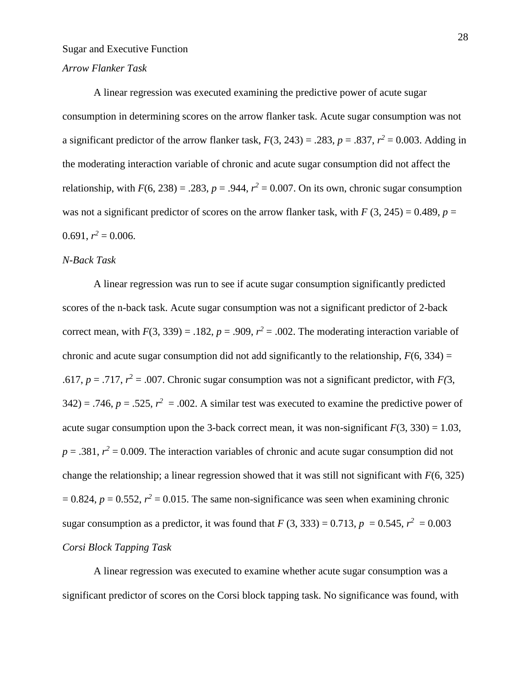## *Arrow Flanker Task*

A linear regression was executed examining the predictive power of acute sugar consumption in determining scores on the arrow flanker task. Acute sugar consumption was not a significant predictor of the arrow flanker task,  $F(3, 243) = .283$ ,  $p = .837$ ,  $r^2 = 0.003$ . Adding in the moderating interaction variable of chronic and acute sugar consumption did not affect the relationship, with  $F(6, 238) = .283$ ,  $p = .944$ ,  $r^2 = 0.007$ . On its own, chronic sugar consumption was not a significant predictor of scores on the arrow flanker task, with  $F(3, 245) = 0.489$ ,  $p =$  $0.691, r^2 = 0.006.$ 

### *N-Back Task*

A linear regression was run to see if acute sugar consumption significantly predicted scores of the n-back task. Acute sugar consumption was not a significant predictor of 2-back correct mean, with  $F(3, 339) = .182$ ,  $p = .909$ ,  $r^2 = .002$ . The moderating interaction variable of chronic and acute sugar consumption did not add significantly to the relationship,  $F(6, 334) =$ .617,  $p = .717$ ,  $r^2 = .007$ . Chronic sugar consumption was not a significant predictor, with  $F(3)$ ,  $342$ ) = .746,  $p = .525$ ,  $r^2 = .002$ . A similar test was executed to examine the predictive power of acute sugar consumption upon the 3-back correct mean, it was non-significant  $F(3, 330) = 1.03$ ,  $p = .381$ ,  $r^2 = 0.009$ . The interaction variables of chronic and acute sugar consumption did not change the relationship; a linear regression showed that it was still not significant with *F*(6, 325)  $= 0.824$ ,  $p = 0.552$ ,  $r^2 = 0.015$ . The same non-significance was seen when examining chronic sugar consumption as a predictor, it was found that  $F(3, 333) = 0.713$ ,  $p = 0.545$ ,  $r^2 = 0.003$ *Corsi Block Tapping Task*

A linear regression was executed to examine whether acute sugar consumption was a significant predictor of scores on the Corsi block tapping task. No significance was found, with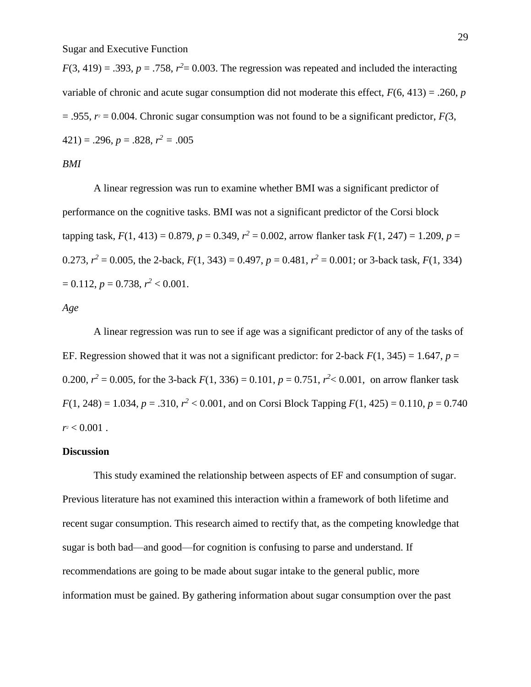$F(3, 419) = .393$ ,  $p = .758$ ,  $r<sup>2</sup> = 0.003$ . The regression was repeated and included the interacting variable of chronic and acute sugar consumption did not moderate this effect,  $F(6, 413) = .260$ , *p*  $= .955$ ,  $r = 0.004$ . Chronic sugar consumption was not found to be a significant predictor,  $F(3)$ ,  $(421) = .296, p = .828, r<sup>2</sup> = .005$ 

*BMI*

A linear regression was run to examine whether BMI was a significant predictor of performance on the cognitive tasks. BMI was not a significant predictor of the Corsi block tapping task,  $F(1, 413) = 0.879$ ,  $p = 0.349$ ,  $r^2 = 0.002$ , arrow flanker task  $F(1, 247) = 1.209$ ,  $p =$ 0.273,  $r^2 = 0.005$ , the 2-back,  $F(1, 343) = 0.497$ ,  $p = 0.481$ ,  $r^2 = 0.001$ ; or 3-back task,  $F(1, 334)$  $= 0.112, p = 0.738, r<sup>2</sup> < 0.001.$ 

#### *Age*

A linear regression was run to see if age was a significant predictor of any of the tasks of EF. Regression showed that it was not a significant predictor: for 2-back  $F(1, 345) = 1.647$ ,  $p =$ 0.200,  $r^2 = 0.005$ , for the 3-back  $F(1, 336) = 0.101$ ,  $p = 0.751$ ,  $r^2 < 0.001$ , on arrow flanker task  $F(1, 248) = 1.034$ ,  $p = .310$ ,  $r^2 < 0.001$ , and on Corsi Block Tapping  $F(1, 425) = 0.110$ ,  $p = 0.740$  $r^2$  < 0.001.

#### **Discussion**

This study examined the relationship between aspects of EF and consumption of sugar. Previous literature has not examined this interaction within a framework of both lifetime and recent sugar consumption. This research aimed to rectify that, as the competing knowledge that sugar is both bad—and good—for cognition is confusing to parse and understand. If recommendations are going to be made about sugar intake to the general public, more information must be gained. By gathering information about sugar consumption over the past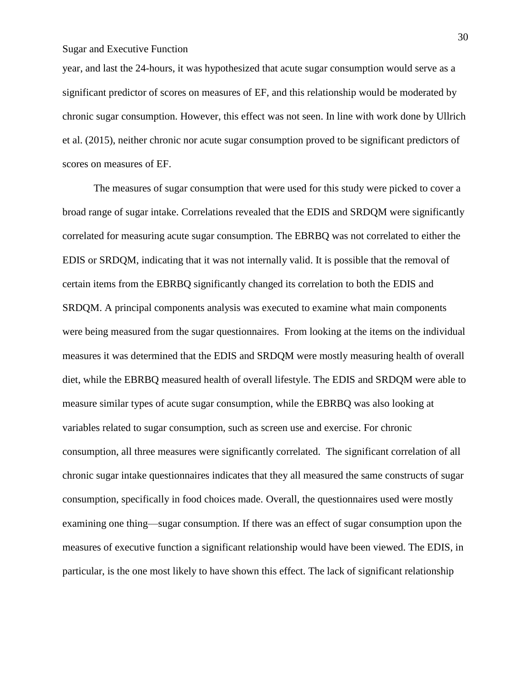year, and last the 24-hours, it was hypothesized that acute sugar consumption would serve as a significant predictor of scores on measures of EF, and this relationship would be moderated by chronic sugar consumption. However, this effect was not seen. In line with work done by Ullrich et al. (2015), neither chronic nor acute sugar consumption proved to be significant predictors of scores on measures of EF.

The measures of sugar consumption that were used for this study were picked to cover a broad range of sugar intake. Correlations revealed that the EDIS and SRDQM were significantly correlated for measuring acute sugar consumption. The EBRBQ was not correlated to either the EDIS or SRDQM, indicating that it was not internally valid. It is possible that the removal of certain items from the EBRBQ significantly changed its correlation to both the EDIS and SRDQM. A principal components analysis was executed to examine what main components were being measured from the sugar questionnaires. From looking at the items on the individual measures it was determined that the EDIS and SRDQM were mostly measuring health of overall diet, while the EBRBQ measured health of overall lifestyle. The EDIS and SRDQM were able to measure similar types of acute sugar consumption, while the EBRBQ was also looking at variables related to sugar consumption, such as screen use and exercise. For chronic consumption, all three measures were significantly correlated. The significant correlation of all chronic sugar intake questionnaires indicates that they all measured the same constructs of sugar consumption, specifically in food choices made. Overall, the questionnaires used were mostly examining one thing—sugar consumption. If there was an effect of sugar consumption upon the measures of executive function a significant relationship would have been viewed. The EDIS, in particular, is the one most likely to have shown this effect. The lack of significant relationship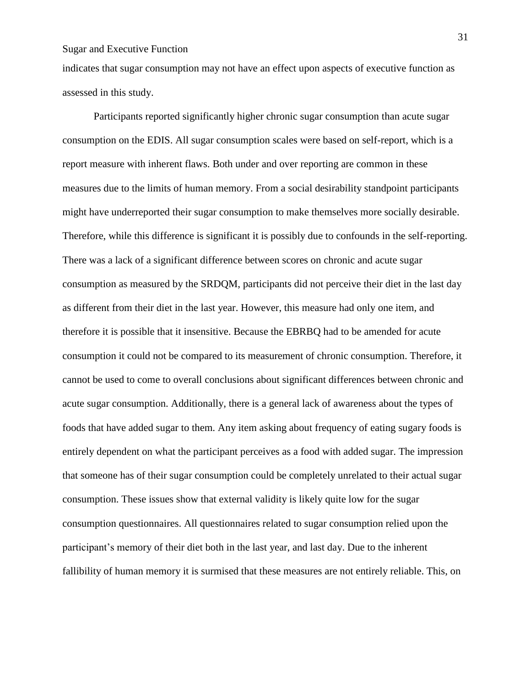indicates that sugar consumption may not have an effect upon aspects of executive function as assessed in this study.

Participants reported significantly higher chronic sugar consumption than acute sugar consumption on the EDIS. All sugar consumption scales were based on self-report, which is a report measure with inherent flaws. Both under and over reporting are common in these measures due to the limits of human memory. From a social desirability standpoint participants might have underreported their sugar consumption to make themselves more socially desirable. Therefore, while this difference is significant it is possibly due to confounds in the self-reporting. There was a lack of a significant difference between scores on chronic and acute sugar consumption as measured by the SRDQM, participants did not perceive their diet in the last day as different from their diet in the last year. However, this measure had only one item, and therefore it is possible that it insensitive. Because the EBRBQ had to be amended for acute consumption it could not be compared to its measurement of chronic consumption. Therefore, it cannot be used to come to overall conclusions about significant differences between chronic and acute sugar consumption. Additionally, there is a general lack of awareness about the types of foods that have added sugar to them. Any item asking about frequency of eating sugary foods is entirely dependent on what the participant perceives as a food with added sugar. The impression that someone has of their sugar consumption could be completely unrelated to their actual sugar consumption. These issues show that external validity is likely quite low for the sugar consumption questionnaires. All questionnaires related to sugar consumption relied upon the participant's memory of their diet both in the last year, and last day. Due to the inherent fallibility of human memory it is surmised that these measures are not entirely reliable. This, on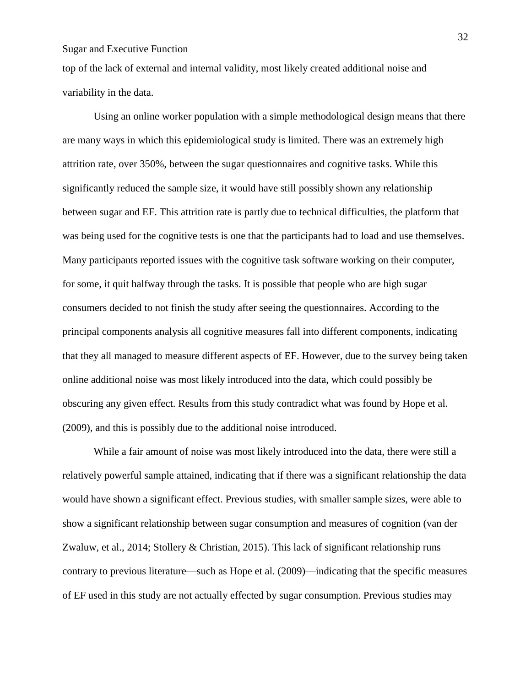top of the lack of external and internal validity, most likely created additional noise and variability in the data.

Using an online worker population with a simple methodological design means that there are many ways in which this epidemiological study is limited. There was an extremely high attrition rate, over 350%, between the sugar questionnaires and cognitive tasks. While this significantly reduced the sample size, it would have still possibly shown any relationship between sugar and EF. This attrition rate is partly due to technical difficulties, the platform that was being used for the cognitive tests is one that the participants had to load and use themselves. Many participants reported issues with the cognitive task software working on their computer, for some, it quit halfway through the tasks. It is possible that people who are high sugar consumers decided to not finish the study after seeing the questionnaires. According to the principal components analysis all cognitive measures fall into different components, indicating that they all managed to measure different aspects of EF. However, due to the survey being taken online additional noise was most likely introduced into the data, which could possibly be obscuring any given effect. Results from this study contradict what was found by Hope et al. (2009), and this is possibly due to the additional noise introduced.

While a fair amount of noise was most likely introduced into the data, there were still a relatively powerful sample attained, indicating that if there was a significant relationship the data would have shown a significant effect. Previous studies, with smaller sample sizes, were able to show a significant relationship between sugar consumption and measures of cognition (van der Zwaluw, et al., 2014; Stollery & Christian, 2015). This lack of significant relationship runs contrary to previous literature—such as Hope et al. (2009)—indicating that the specific measures of EF used in this study are not actually effected by sugar consumption. Previous studies may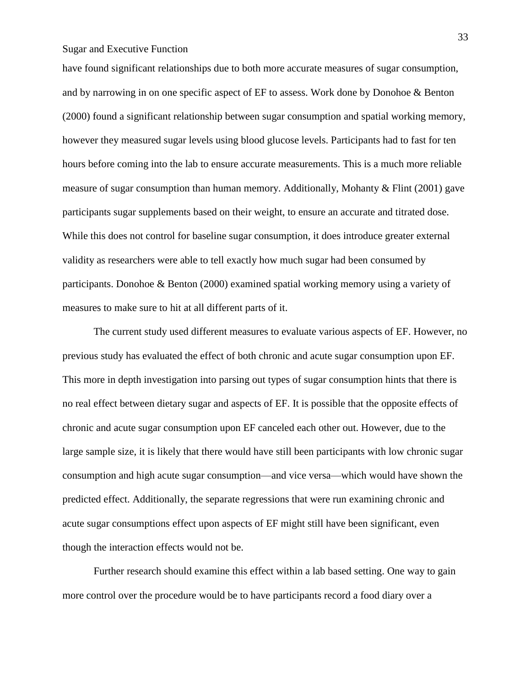have found significant relationships due to both more accurate measures of sugar consumption, and by narrowing in on one specific aspect of EF to assess. Work done by Donohoe & Benton (2000) found a significant relationship between sugar consumption and spatial working memory, however they measured sugar levels using blood glucose levels. Participants had to fast for ten hours before coming into the lab to ensure accurate measurements. This is a much more reliable measure of sugar consumption than human memory. Additionally, Mohanty & Flint (2001) gave participants sugar supplements based on their weight, to ensure an accurate and titrated dose. While this does not control for baseline sugar consumption, it does introduce greater external validity as researchers were able to tell exactly how much sugar had been consumed by participants. Donohoe & Benton (2000) examined spatial working memory using a variety of measures to make sure to hit at all different parts of it.

The current study used different measures to evaluate various aspects of EF. However, no previous study has evaluated the effect of both chronic and acute sugar consumption upon EF. This more in depth investigation into parsing out types of sugar consumption hints that there is no real effect between dietary sugar and aspects of EF. It is possible that the opposite effects of chronic and acute sugar consumption upon EF canceled each other out. However, due to the large sample size, it is likely that there would have still been participants with low chronic sugar consumption and high acute sugar consumption—and vice versa—which would have shown the predicted effect. Additionally, the separate regressions that were run examining chronic and acute sugar consumptions effect upon aspects of EF might still have been significant, even though the interaction effects would not be.

Further research should examine this effect within a lab based setting. One way to gain more control over the procedure would be to have participants record a food diary over a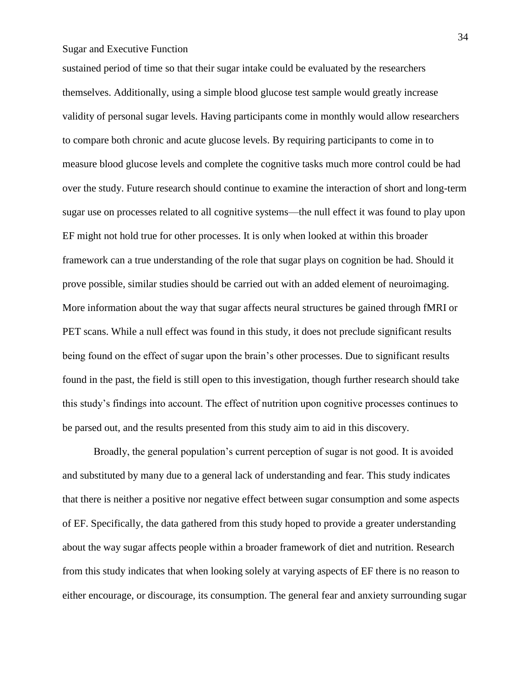sustained period of time so that their sugar intake could be evaluated by the researchers themselves. Additionally, using a simple blood glucose test sample would greatly increase validity of personal sugar levels. Having participants come in monthly would allow researchers to compare both chronic and acute glucose levels. By requiring participants to come in to measure blood glucose levels and complete the cognitive tasks much more control could be had over the study. Future research should continue to examine the interaction of short and long-term sugar use on processes related to all cognitive systems—the null effect it was found to play upon EF might not hold true for other processes. It is only when looked at within this broader framework can a true understanding of the role that sugar plays on cognition be had. Should it prove possible, similar studies should be carried out with an added element of neuroimaging. More information about the way that sugar affects neural structures be gained through fMRI or PET scans. While a null effect was found in this study, it does not preclude significant results being found on the effect of sugar upon the brain's other processes. Due to significant results found in the past, the field is still open to this investigation, though further research should take this study's findings into account. The effect of nutrition upon cognitive processes continues to be parsed out, and the results presented from this study aim to aid in this discovery.

Broadly, the general population's current perception of sugar is not good. It is avoided and substituted by many due to a general lack of understanding and fear. This study indicates that there is neither a positive nor negative effect between sugar consumption and some aspects of EF. Specifically, the data gathered from this study hoped to provide a greater understanding about the way sugar affects people within a broader framework of diet and nutrition. Research from this study indicates that when looking solely at varying aspects of EF there is no reason to either encourage, or discourage, its consumption. The general fear and anxiety surrounding sugar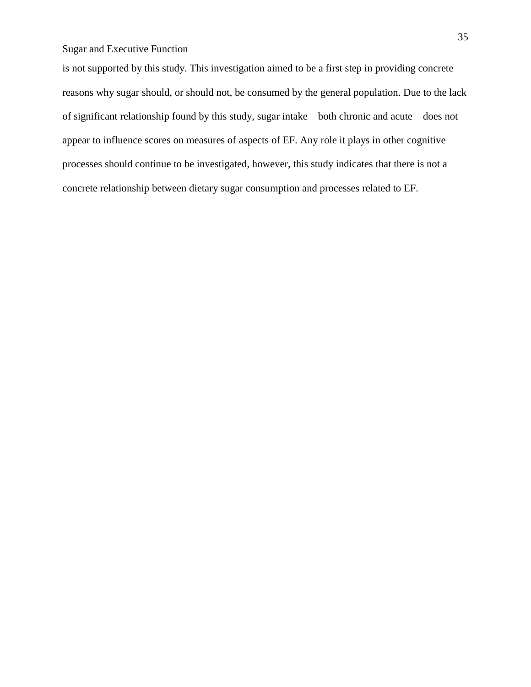is not supported by this study. This investigation aimed to be a first step in providing concrete reasons why sugar should, or should not, be consumed by the general population. Due to the lack of significant relationship found by this study, sugar intake—both chronic and acute—does not appear to influence scores on measures of aspects of EF. Any role it plays in other cognitive processes should continue to be investigated, however, this study indicates that there is not a concrete relationship between dietary sugar consumption and processes related to EF.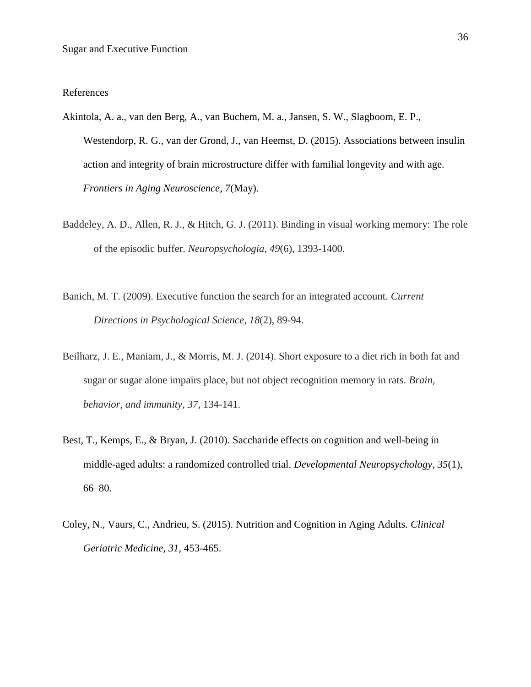### References

- Akintola, A. a., van den Berg, A., van Buchem, M. a., Jansen, S. W., Slagboom, E. P., Westendorp, R. G., van der Grond, J., van Heemst, D. (2015). Associations between insulin action and integrity of brain microstructure differ with familial longevity and with age. *Frontiers in Aging Neuroscience*, *7*(May).
- Baddeley, A. D., Allen, R. J., & Hitch, G. J. (2011). Binding in visual working memory: The role of the episodic buffer. *Neuropsychologia*, *49*(6), 1393-1400.
- Banich, M. T. (2009). Executive function the search for an integrated account. *Current Directions in Psychological Science*, *18*(2), 89-94.
- Beilharz, J. E., Maniam, J., & Morris, M. J. (2014). Short exposure to a diet rich in both fat and sugar or sugar alone impairs place, but not object recognition memory in rats. *Brain, behavior, and immunity*, *37*, 134-141.
- Best, T., Kemps, E., & Bryan, J. (2010). Saccharide effects on cognition and well-being in middle-aged adults: a randomized controlled trial. *Developmental Neuropsychology*, *35*(1), 66–80.
- Coley, N., Vaurs, C., Andrieu, S. (2015). Nutrition and Cognition in Aging Adults. *Clinical Geriatric Medicine, 31,* 453-465.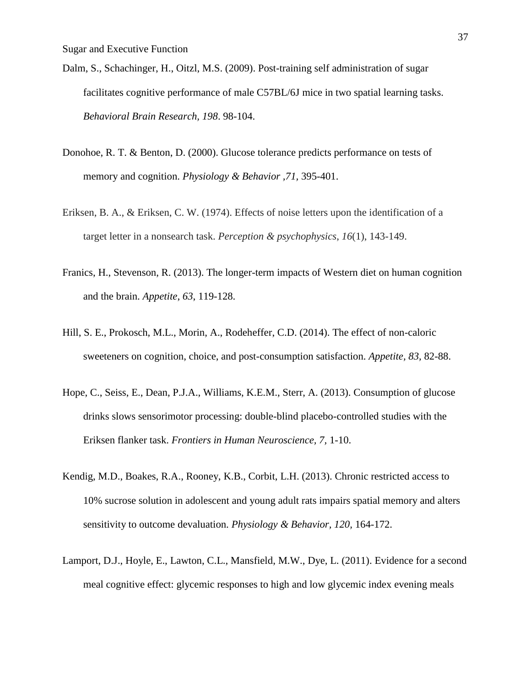- Dalm, S., Schachinger, H., Oitzl, M.S. (2009). Post-training self administration of sugar facilitates cognitive performance of male C57BL/6J mice in two spatial learning tasks. *Behavioral Brain Research, 198*. 98-104.
- Donohoe, R. T. & Benton, D. (2000). Glucose tolerance predicts performance on tests of memory and cognition. *Physiology & Behavior ,71,* 395-401.
- Eriksen, B. A., & Eriksen, C. W. (1974). Effects of noise letters upon the identification of a target letter in a nonsearch task. *Perception & psychophysics*, *16*(1), 143-149.
- Franics, H., Stevenson, R. (2013). The longer-term impacts of Western diet on human cognition and the brain. *Appetite*, *63*, 119-128.
- Hill, S. E., Prokosch, M.L., Morin, A., Rodeheffer, C.D. (2014). The effect of non-caloric sweeteners on cognition, choice, and post-consumption satisfaction. *Appetite, 83,* 82-88.
- Hope, C., Seiss, E., Dean, P.J.A., Williams, K.E.M., Sterr, A. (2013). Consumption of glucose drinks slows sensorimotor processing: double-blind placebo-controlled studies with the Eriksen flanker task. *Frontiers in Human Neuroscience, 7,* 1-10.
- Kendig, M.D., Boakes, R.A., Rooney, K.B., Corbit, L.H. (2013). Chronic restricted access to 10% sucrose solution in adolescent and young adult rats impairs spatial memory and alters sensitivity to outcome devaluation. *Physiology & Behavior, 120,* 164-172.
- Lamport, D.J., Hoyle, E., Lawton, C.L., Mansfield, M.W., Dye, L. (2011). Evidence for a second meal cognitive effect: glycemic responses to high and low glycemic index evening meals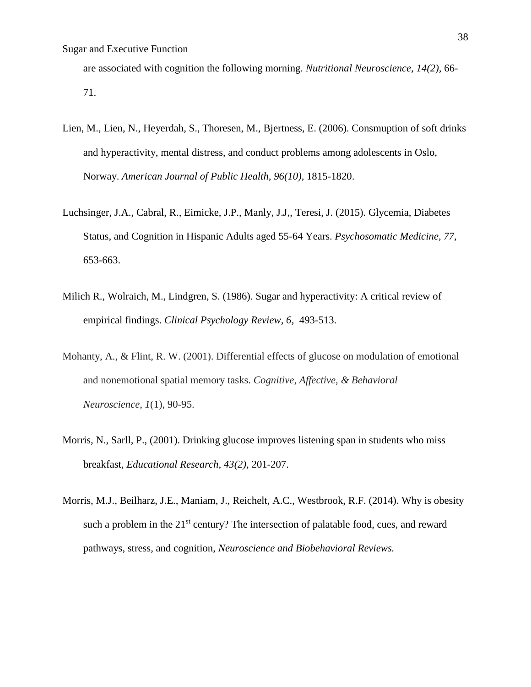are associated with cognition the following morning. *Nutritional Neuroscience, 14(2),* 66- 71.

- Lien, M., Lien, N., Heyerdah, S., Thoresen, M., Bjertness, E. (2006). Consmuption of soft drinks and hyperactivity, mental distress, and conduct problems among adolescents in Oslo, Norway. *American Journal of Public Health, 96(10)*, 1815-1820.
- Luchsinger, J.A., Cabral, R., Eimicke, J.P., Manly, J.J,, Teresi, J. (2015). Glycemia, Diabetes Status, and Cognition in Hispanic Adults aged 55-64 Years. *Psychosomatic Medicine, 77,*  653-663.
- Milich R., Wolraich, M., Lindgren, S. (1986). Sugar and hyperactivity: A critical review of empirical findings. *Clinical Psychology Review, 6,* 493-513.
- Mohanty, A., & Flint, R. W. (2001). Differential effects of glucose on modulation of emotional and nonemotional spatial memory tasks. *Cognitive, Affective, & Behavioral Neuroscience*, *1*(1), 90-95.
- Morris, N., Sarll, P., (2001). Drinking glucose improves listening span in students who miss breakfast, *Educational Research, 43(2),* 201-207.
- Morris, M.J., Beilharz, J.E., Maniam, J., Reichelt, A.C., Westbrook, R.F. (2014). Why is obesity such a problem in the  $21<sup>st</sup>$  century? The intersection of palatable food, cues, and reward pathways, stress, and cognition, *Neuroscience and Biobehavioral Reviews.*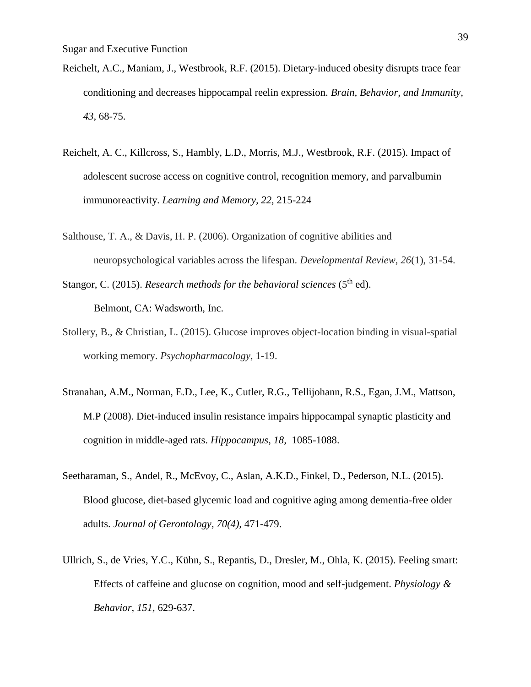- Reichelt, A.C., Maniam, J., Westbrook, R.F. (2015). Dietary-induced obesity disrupts trace fear conditioning and decreases hippocampal reelin expression. *Brain, Behavior, and Immunity, 43,* 68-75.
- Reichelt, A. C., Killcross, S., Hambly, L.D., Morris, M.J., Westbrook, R.F. (2015). Impact of adolescent sucrose access on cognitive control, recognition memory, and parvalbumin immunoreactivity. *Learning and Memory, 22,* 215-224
- Salthouse, T. A., & Davis, H. P. (2006). Organization of cognitive abilities and neuropsychological variables across the lifespan. *Developmental Review*, *26*(1), 31-54.
- Stangor, C. (2015). *Research methods for the behavioral sciences* (5<sup>th</sup> ed). Belmont, CA: Wadsworth, Inc.
- Stollery, B., & Christian, L. (2015). Glucose improves object-location binding in visual-spatial working memory. *Psychopharmacology*, 1-19.
- Stranahan, A.M., Norman, E.D., Lee, K., Cutler, R.G., Tellijohann, R.S., Egan, J.M., Mattson, M.P (2008). Diet-induced insulin resistance impairs hippocampal synaptic plasticity and cognition in middle-aged rats. *Hippocampus, 18,* 1085-1088.
- Seetharaman, S., Andel, R., McEvoy, C., Aslan, A.K.D., Finkel, D., Pederson, N.L. (2015). Blood glucose, diet-based glycemic load and cognitive aging among dementia-free older adults. *Journal of Gerontology, 70(4),* 471-479.
- Ullrich, S., de Vries, Y.C., Kühn, S., Repantis, D., Dresler, M., Ohla, K. (2015). Feeling smart: Effects of caffeine and glucose on cognition, mood and self-judgement. *Physiology & Behavior, 151,* 629-637.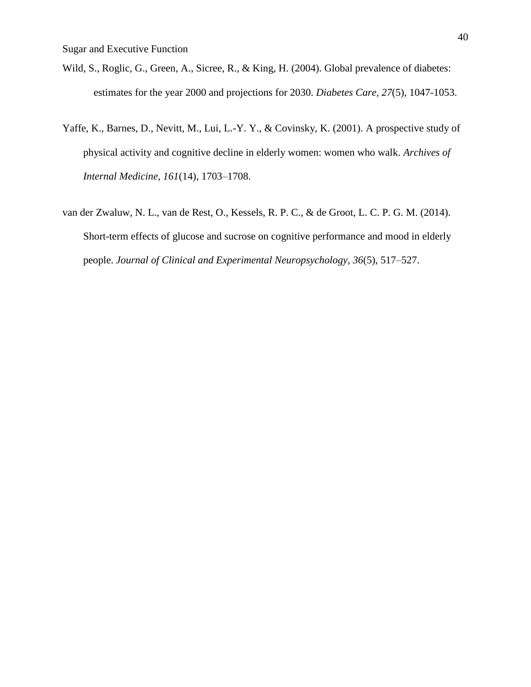- Wild, S., Roglic, G., Green, A., Sicree, R., & King, H. (2004). Global prevalence of diabetes: estimates for the year 2000 and projections for 2030. *Diabetes Care, 27*(5), 1047-1053.
- Yaffe, K., Barnes, D., Nevitt, M., Lui, L.-Y. Y., & Covinsky, K. (2001). A prospective study of physical activity and cognitive decline in elderly women: women who walk. *Archives of Internal Medicine*, *161*(14), 1703–1708.
- van der Zwaluw, N. L., van de Rest, O., Kessels, R. P. C., & de Groot, L. C. P. G. M. (2014). Short-term effects of glucose and sucrose on cognitive performance and mood in elderly people. *Journal of Clinical and Experimental Neuropsychology*, *36*(5), 517–527.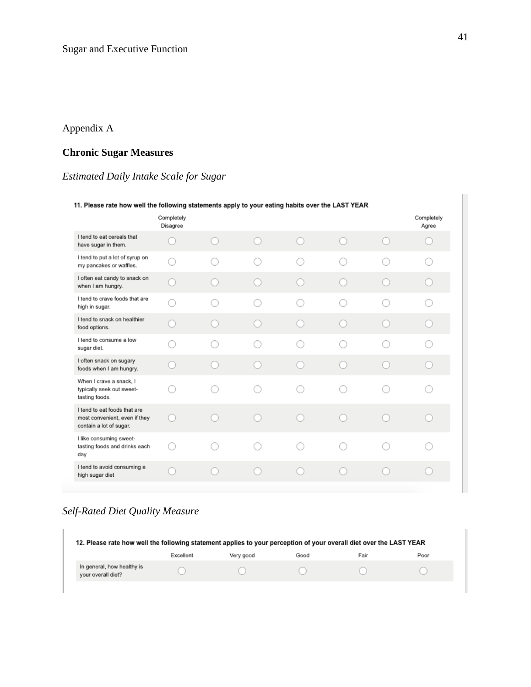# Appendix A

# **Chronic Sugar Measures**

# *Estimated Daily Intake Scale for Sugar*

| 11. Please rate how well the following statements apply to your eating habits over the LAST YEAR |                        |  |  |     |  |                    |                     |  |
|--------------------------------------------------------------------------------------------------|------------------------|--|--|-----|--|--------------------|---------------------|--|
|                                                                                                  | Completely<br>Disagree |  |  |     |  |                    | Completely<br>Agree |  |
| I tend to eat cereals that<br>have sugar in them.                                                |                        |  |  | . . |  | . .                |                     |  |
| I tend to put a lot of syrup on<br>my pancakes or waffles.                                       |                        |  |  |     |  |                    |                     |  |
| I often eat candy to snack on<br>when I am hungry.                                               |                        |  |  |     |  |                    |                     |  |
| I tend to crave foods that are<br>high in sugar.                                                 |                        |  |  |     |  | a a                |                     |  |
| I tend to snack on healthier<br>food options.                                                    |                        |  |  |     |  |                    |                     |  |
| I tend to consume a low<br>sugar diet.                                                           |                        |  |  |     |  |                    |                     |  |
| I often snack on sugary<br>foods when I am hungry.                                               |                        |  |  |     |  |                    |                     |  |
| When I crave a snack, I<br>typically seek out sweet-<br>tasting foods.                           |                        |  |  |     |  |                    |                     |  |
| I tend to eat foods that are<br>most convenient, even if they<br>contain a lot of sugar.         |                        |  |  |     |  | <b>Participate</b> |                     |  |
| I like consuming sweet-<br>tasting foods and drinks each<br>day                                  |                        |  |  |     |  |                    |                     |  |
| I tend to avoid consuming a<br>high sugar diet                                                   |                        |  |  |     |  |                    |                     |  |
|                                                                                                  |                        |  |  |     |  |                    |                     |  |

# *Self-Rated Diet Quality Measure*

| 12. Please rate how well the following statement applies to your perception of your overall diet over the LAST YEAR |           |           |      |      |      |  |  |  |
|---------------------------------------------------------------------------------------------------------------------|-----------|-----------|------|------|------|--|--|--|
|                                                                                                                     | Excellent | Very good | Good | Fair | Poor |  |  |  |
| In general, how healthy is<br>your overall diet?                                                                    |           |           |      |      |      |  |  |  |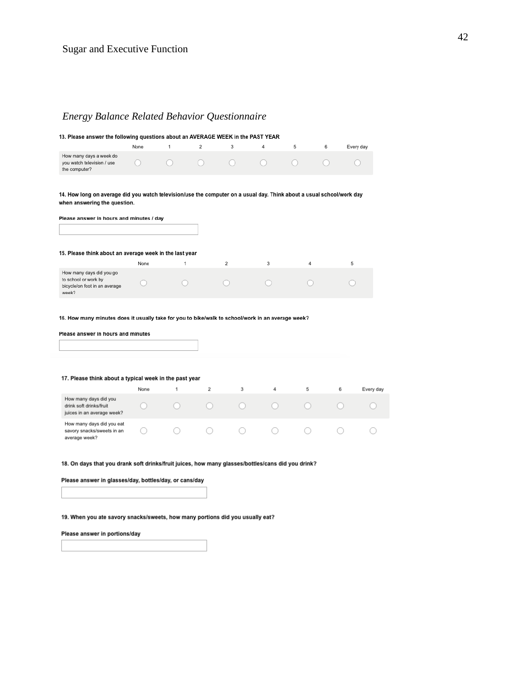# *Energy Balance Related Behavior Questionnaire*

| How many days a week do<br>you watch television / use<br>the computer?                                                                                | None | 1 | $\overline{2}$ | 3              | 4 | 5 | 6 |           |
|-------------------------------------------------------------------------------------------------------------------------------------------------------|------|---|----------------|----------------|---|---|---|-----------|
|                                                                                                                                                       |      |   |                |                |   |   |   | Every day |
|                                                                                                                                                       |      |   |                |                |   |   |   |           |
| 14. How long on average did you watch television/use the computer on a usual day. Think about a usual school/work day<br>when answering the question. |      |   |                |                |   |   |   |           |
| Please answer in hours and minutes / day                                                                                                              |      |   |                |                |   |   |   |           |
| 15. Please think about an average week in the last year                                                                                               |      |   |                | $\overline{2}$ |   | 4 |   |           |
| How many days did you go<br>to school or work by<br>bicycle/on foot in an average<br>week?                                                            | None | 1 |                |                | 3 |   | 5 |           |
| 16. How many minutes does it usually take for you to bike/walk to school/work in an average week?                                                     |      |   |                |                |   |   |   |           |
| Please answer in hours and minutes                                                                                                                    |      |   |                |                |   |   |   |           |
|                                                                                                                                                       |      |   |                |                |   |   |   |           |
| 17. Please think about a typical week in the past year                                                                                                |      |   |                |                |   |   |   |           |
|                                                                                                                                                       | None | 1 | $\overline{2}$ | 3              | 4 | 5 | 6 | Every day |
| How many days did you<br>drink soft drinks/fruit                                                                                                      |      |   |                |                |   |   |   |           |
| juices in an average week?                                                                                                                            |      |   |                |                |   |   |   |           |

18. On days that you drank soft drinks/fruit juices, how many glasses/bottles/cans did you drink?

Please answer in glasses/day, bottles/day, or cans/day

19. When you ate savory snacks/sweets, how many portions did you usually eat?

Please answer in portions/day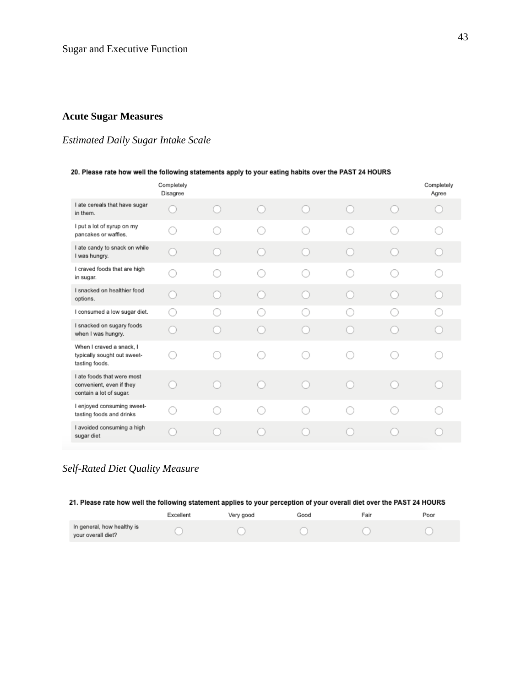# **Acute Sugar Measures**

# *Estimated Daily Sugar Intake Scale*

#### 20. Please rate how well the following statements apply to your eating habits over the PAST 24 HOURS

|                                                                                   | Completely<br>Disagree |     |  | Completely<br>Agree |
|-----------------------------------------------------------------------------------|------------------------|-----|--|---------------------|
| I ate cereals that have sugar<br>in them.                                         |                        |     |  |                     |
| I put a lot of syrup on my<br>pancakes or waffles.                                |                        |     |  |                     |
| I ate candy to snack on while<br>I was hungry.                                    |                        | - 1 |  |                     |
| I craved foods that are high<br>in sugar.                                         |                        |     |  |                     |
| I snacked on healthier food<br>options.                                           |                        |     |  |                     |
| I consumed a low sugar diet.                                                      |                        |     |  |                     |
| I snacked on sugary foods<br>when I was hungry.                                   |                        |     |  |                     |
| When I craved a snack, I<br>typically sought out sweet-<br>tasting foods.         |                        |     |  |                     |
| I ate foods that were most<br>convenient, even if they<br>contain a lot of sugar. |                        | - 1 |  |                     |
| I enjoyed consuming sweet-<br>tasting foods and drinks                            |                        |     |  |                     |
| I avoided consuming a high<br>sugar diet                                          |                        |     |  |                     |

# *Self-Rated Diet Quality Measure*

| 21. Please rate how well the following statement applies to your perception of your overall diet over the PAST 24 HOURS |           |           |      |      |      |  |  |  |
|-------------------------------------------------------------------------------------------------------------------------|-----------|-----------|------|------|------|--|--|--|
|                                                                                                                         | Excellent | Very good | Good | Fair | Poor |  |  |  |
| In general, how healthy is<br>vour overall diet?                                                                        |           |           |      |      |      |  |  |  |